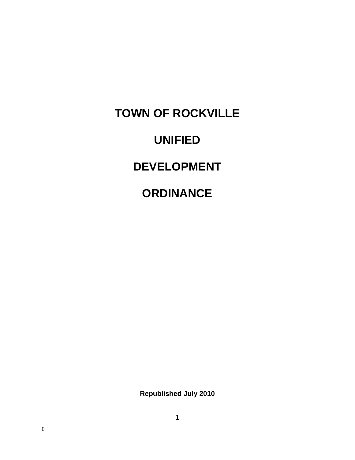**TOWN OF ROCKVILLE UNIFIED DEVELOPMENT ORDINANCE** 

**Republished July 2010**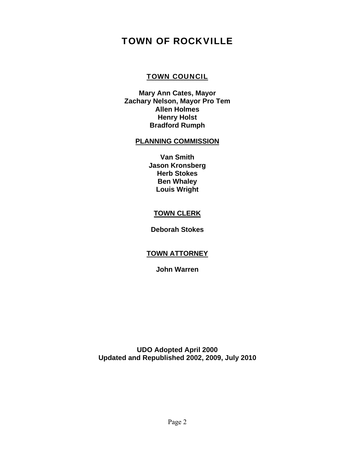# TOWN OF ROCKVILLE

## TOWN COUNCIL

**Mary Ann Cates, Mayor Zachary Nelson, Mayor Pro Tem Allen Holmes Henry Holst Bradford Rumph** 

#### **PLANNING COMMISSION**

**Van Smith Jason Kronsberg Herb Stokes Ben Whaley Louis Wright** 

## **TOWN CLERK**

**Deborah Stokes** 

# **TOWN ATTORNEY**

**John Warren** 

**UDO Adopted April 2000 Updated and Republished 2002, 2009, July 2010**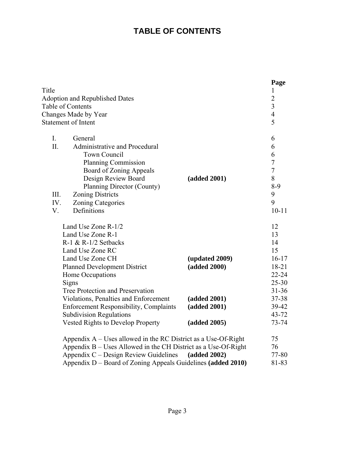# **TABLE OF CONTENTS**

|                                                                  |                | Page                             |
|------------------------------------------------------------------|----------------|----------------------------------|
| Title                                                            |                | 1                                |
| <b>Adoption and Republished Dates</b><br>Table of Contents       |                | $\overline{2}$<br>$\overline{3}$ |
|                                                                  |                | $\overline{4}$                   |
| Changes Made by Year<br><b>Statement of Intent</b>               |                | 5                                |
|                                                                  |                |                                  |
| $I_{\cdot}$<br>General                                           |                | 6                                |
| II.<br>Administrative and Procedural                             |                | 6                                |
| Town Council                                                     |                | 6                                |
| <b>Planning Commission</b>                                       |                | $\sqrt{ }$                       |
| Board of Zoning Appeals                                          |                | $\overline{7}$                   |
| Design Review Board                                              | (added 2001)   | 8                                |
| Planning Director (County)                                       |                | $8-9$                            |
| III.<br><b>Zoning Districts</b>                                  |                | 9                                |
| IV.<br><b>Zoning Categories</b>                                  |                | 9                                |
| V.<br>Definitions                                                |                | $10 - 11$                        |
| Land Use Zone R-1/2                                              |                | 12                               |
| Land Use Zone R-1                                                |                | 13                               |
| $R-1$ & $R-1/2$ Setbacks                                         |                | 14                               |
| Land Use Zone RC                                                 |                | 15                               |
| Land Use Zone CH                                                 | (updated 2009) | $16 - 17$                        |
| <b>Planned Development District</b>                              | (added 2000)   | $18 - 21$                        |
| Home Occupations                                                 |                | $22 - 24$                        |
| Signs                                                            |                | $25 - 30$                        |
| Tree Protection and Preservation                                 |                | $31 - 36$                        |
| Violations, Penalties and Enforcement                            | (added 2001)   | 37-38                            |
| <b>Enforcement Responsibility, Complaints</b>                    | (added 2001)   | 39-42                            |
| <b>Subdivision Regulations</b>                                   |                | $43 - 72$                        |
| <b>Vested Rights to Develop Property</b>                         | (added 2005)   | $73 - 74$                        |
| Appendix $A$ – Uses allowed in the RC District as a Use-Of-Right |                | 75                               |
| Appendix B – Uses Allowed in the CH District as a Use-Of-Right   |                | 76                               |
| Appendix C – Design Review Guidelines                            | (added 2002)   | 77-80                            |
| Appendix D – Board of Zoning Appeals Guidelines (added 2010)     |                | 81-83                            |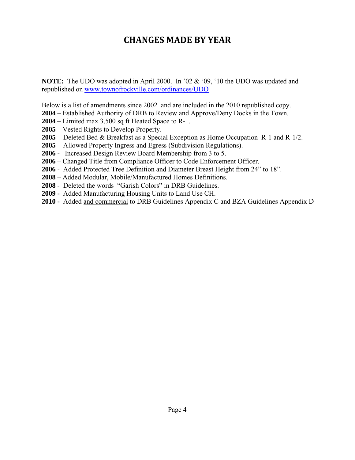# **CHANGES MADE BY YEAR**

**NOTE:** The UDO was adopted in April 2000. In '02 & '09, '10 the UDO was updated and republished on www.townofrockville.com/ordinances/UDO

Below is a list of amendments since 2002 and are included in the 2010 republished copy.

- **2004** Established Authority of DRB to Review and Approve/Deny Docks in the Town.
- **2004** Limited max 3,500 sq ft Heated Space to R-1.
- **2005** Vested Rights to Develop Property.
- **2005** Deleted Bed & Breakfast as a Special Exception as Home Occupation R-1 and R-1/2.
- **2005** Allowed Property Ingress and Egress (Subdivision Regulations).
- **2006** Increased Design Review Board Membership from 3 to 5.
- **2006**  Changed Title from Compliance Officer to Code Enforcement Officer.
- **2006** Added Protected Tree Definition and Diameter Breast Height from 24" to 18".
- **2008** Added Modular, Mobile/Manufactured Homes Definitions.
- **2008** Deleted the words "Garish Colors" in DRB Guidelines.
- **2009** Added Manufacturing Housing Units to Land Use CH.
- **2010** Added and commercial to DRB Guidelines Appendix C and BZA Guidelines Appendix D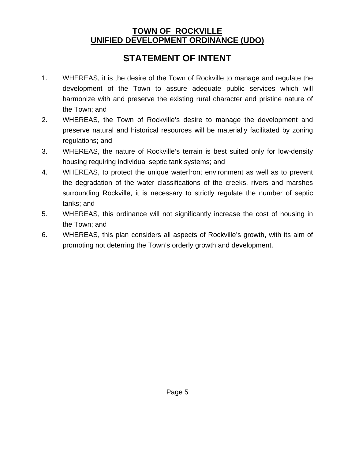# **TOWN OF ROCKVILLE UNIFIED DEVELOPMENT ORDINANCE (UDO)**

# **STATEMENT OF INTENT**

- 1. WHEREAS, it is the desire of the Town of Rockville to manage and regulate the development of the Town to assure adequate public services which will harmonize with and preserve the existing rural character and pristine nature of the Town; and
- 2. WHEREAS, the Town of Rockville's desire to manage the development and preserve natural and historical resources will be materially facilitated by zoning regulations; and
- 3. WHEREAS, the nature of Rockville's terrain is best suited only for low-density housing requiring individual septic tank systems; and
- 4. WHEREAS, to protect the unique waterfront environment as well as to prevent the degradation of the water classifications of the creeks, rivers and marshes surrounding Rockville, it is necessary to strictly regulate the number of septic tanks; and
- 5. WHEREAS, this ordinance will not significantly increase the cost of housing in the Town; and
- 6. WHEREAS, this plan considers all aspects of Rockville's growth, with its aim of promoting not deterring the Town's orderly growth and development.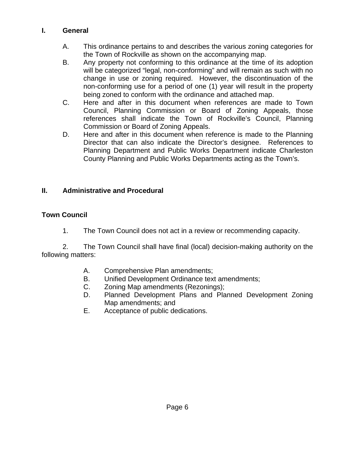# **I. General**

- A. This ordinance pertains to and describes the various zoning categories for the Town of Rockville as shown on the accompanying map.
- B. Any property not conforming to this ordinance at the time of its adoption will be categorized "legal, non-conforming" and will remain as such with no change in use or zoning required. However, the discontinuation of the non-conforming use for a period of one (1) year will result in the property being zoned to conform with the ordinance and attached map.
- C. Here and after in this document when references are made to Town Council, Planning Commission or Board of Zoning Appeals, those references shall indicate the Town of Rockville's Council, Planning Commission or Board of Zoning Appeals.
- D. Here and after in this document when reference is made to the Planning Director that can also indicate the Director's designee. References to Planning Department and Public Works Department indicate Charleston County Planning and Public Works Departments acting as the Town's.

# **II. Administrative and Procedural**

# **Town Council**

1. The Town Council does not act in a review or recommending capacity.

 2. The Town Council shall have final (local) decision-making authority on the following matters:

- A. Comprehensive Plan amendments;
- B. Unified Development Ordinance text amendments;
- C. Zoning Map amendments (Rezonings);
- D. Planned Development Plans and Planned Development Zoning Map amendments; and
- E. Acceptance of public dedications.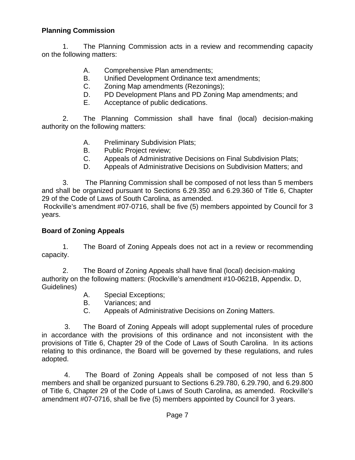# **Planning Commission**

1. The Planning Commission acts in a review and recommending capacity on the following matters:

- A. Comprehensive Plan amendments;
- B. Unified Development Ordinance text amendments;
- C. Zoning Map amendments (Rezonings);
- D. PD Development Plans and PD Zoning Map amendments; and
- E. Acceptance of public dedications.

 2. The Planning Commission shall have final (local) decision-making authority on the following matters:

- A. Preliminary Subdivision Plats;
- B. Public Project review;
- C. Appeals of Administrative Decisions on Final Subdivision Plats;
- D. Appeals of Administrative Decisions on Subdivision Matters; and

 3. The Planning Commission shall be composed of not less than 5 members and shall be organized pursuant to Sections 6.29.350 and 6.29.360 of Title 6, Chapter 29 of the Code of Laws of South Carolina, as amended.

 Rockville's amendment #07-0716, shall be five (5) members appointed by Council for 3 years.

## **Board of Zoning Appeals**

 1. The Board of Zoning Appeals does not act in a review or recommending capacity.

 2. The Board of Zoning Appeals shall have final (local) decision-making authority on the following matters: (Rockville's amendment #10-0621B, Appendix. D, Guidelines)

- A. Special Exceptions;
- B. Variances; and
- C. Appeals of Administrative Decisions on Zoning Matters.

 3. The Board of Zoning Appeals will adopt supplemental rules of procedure in accordance with the provisions of this ordinance and not inconsistent with the provisions of Title 6, Chapter 29 of the Code of Laws of South Carolina. In its actions relating to this ordinance, the Board will be governed by these regulations, and rules adopted.

4. The Board of Zoning Appeals shall be composed of not less than 5 members and shall be organized pursuant to Sections 6.29.780, 6.29.790, and 6.29.800 of Title 6, Chapter 29 of the Code of Laws of South Carolina, as amended. Rockville's amendment #07-0716, shall be five (5) members appointed by Council for 3 years.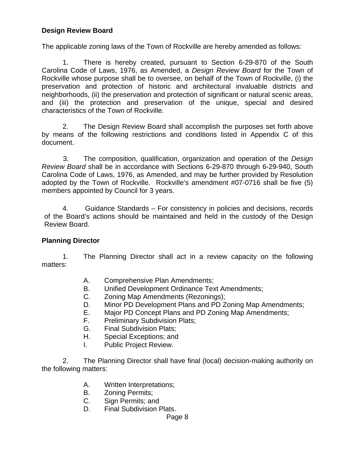# **Design Review Board**

The applicable zoning laws of the Town of Rockville are hereby amended as follows:

1. There is hereby created, pursuant to Section 6-29-870 of the South Carolina Code of Laws, 1976, as Amended, a *Design Review Board* for the Town of Rockville whose purpose shall be to oversee, on behalf of the Town of Rockville, (i) the preservation and protection of historic and architectural invaluable districts and neighborhoods, (ii) the preservation and protection of significant or natural scenic areas, and (iii) the protection and preservation of the unique, special and desired characteristics of the Town of Rockville.

2. The Design Review Board shall accomplish the purposes set forth above by means of the following restrictions and conditions listed in Appendix C of this document.

 3. The composition, qualification, organization and operation of the *Design Review Board* shall be in accordance with Sections 6-29-870 through 6-29-940, South Carolina Code of Laws, 1976, as Amended, and may be further provided by Resolution adopted by the Town of Rockville. Rockville's amendment #07-0716 shall be five (5) members appointed by Council for 3 years.

4. Guidance Standards – For consistency in policies and decisions, records of the Board's actions should be maintained and held in the custody of the Design Review Board.

## **Planning Director**

1. The Planning Director shall act in a review capacity on the following matters:

- A. Comprehensive Plan Amendments;
- B. Unified Development Ordinance Text Amendments;
- C. Zoning Map Amendments (Rezonings);
- D. Minor PD Development Plans and PD Zoning Map Amendments;
- E. Major PD Concept Plans and PD Zoning Map Amendments;
- F. Preliminary Subdivision Plats;
- G. Final Subdivision Plats;
- H. Special Exceptions; and
- I. Public Project Review.

 2. The Planning Director shall have final (local) decision-making authority on the following matters:

- A. Written Interpretations;
- B. Zoning Permits;
- C. Sign Permits; and
- D. Final Subdivision Plats.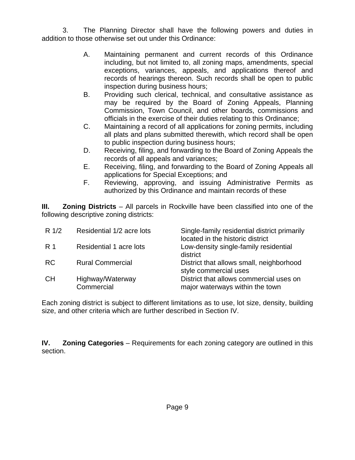3. The Planning Director shall have the following powers and duties in addition to those otherwise set out under this Ordinance:

- A. Maintaining permanent and current records of this Ordinance including, but not limited to, all zoning maps, amendments, special exceptions, variances, appeals, and applications thereof and records of hearings thereon. Such records shall be open to public inspection during business hours;
- B. Providing such clerical, technical, and consultative assistance as may be required by the Board of Zoning Appeals, Planning Commission, Town Council, and other boards, commissions and officials in the exercise of their duties relating to this Ordinance;
- C. Maintaining a record of all applications for zoning permits, including all plats and plans submitted therewith, which record shall be open to public inspection during business hours;
- D. Receiving, filing, and forwarding to the Board of Zoning Appeals the records of all appeals and variances;
- E. Receiving, filing, and forwarding to the Board of Zoning Appeals all applications for Special Exceptions; and
- F. Reviewing, approving, and issuing Administrative Permits as authorized by this Ordinance and maintain records of these

**III. Zoning Districts** – All parcels in Rockville have been classified into one of the following descriptive zoning districts:

| $R \frac{1}{2}$ | Residential 1/2 acre lots      | Single-family residential district primarily<br>located in the historic district |
|-----------------|--------------------------------|----------------------------------------------------------------------------------|
| -R 1            | Residential 1 acre lots        | Low-density single-family residential<br>district                                |
| <b>RC</b>       | <b>Rural Commercial</b>        | District that allows small, neighborhood<br>style commercial uses                |
| <b>CH</b>       | Highway/Waterway<br>Commercial | District that allows commercial uses on<br>major waterways within the town       |

Each zoning district is subject to different limitations as to use, lot size, density, building size, and other criteria which are further described in Section IV.

**IV. Zoning Categories** – Requirements for each zoning category are outlined in this section.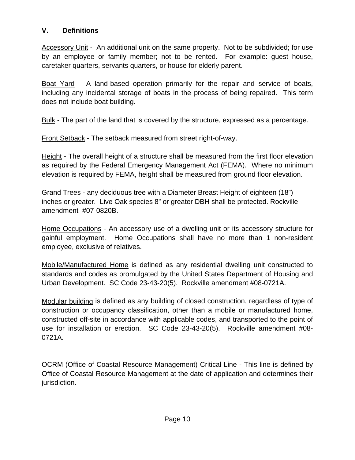# **V. Definitions**

Accessory Unit - An additional unit on the same property. Not to be subdivided; for use by an employee or family member; not to be rented. For example: guest house, caretaker quarters, servants quarters, or house for elderly parent.

Boat Yard – A land-based operation primarily for the repair and service of boats, including any incidental storage of boats in the process of being repaired. This term does not include boat building.

Bulk - The part of the land that is covered by the structure, expressed as a percentage.

Front Setback - The setback measured from street right-of-way.

Height - The overall height of a structure shall be measured from the first floor elevation as required by the Federal Emergency Management Act (FEMA). Where no minimum elevation is required by FEMA, height shall be measured from ground floor elevation.

Grand Trees - any deciduous tree with a Diameter Breast Height of eighteen (18") inches or greater. Live Oak species 8" or greater DBH shall be protected. Rockville amendment #07-0820B.

Home Occupations - An accessory use of a dwelling unit or its accessory structure for gainful employment. Home Occupations shall have no more than 1 non-resident employee, exclusive of relatives.

Mobile/Manufactured Home is defined as any residential dwelling unit constructed to standards and codes as promulgated by the United States Department of Housing and Urban Development. SC Code 23-43-20(5). Rockville amendment #08-0721A.

Modular building is defined as any building of closed construction, regardless of type of construction or occupancy classification, other than a mobile or manufactured home, constructed off-site in accordance with applicable codes, and transported to the point of use for installation or erection. SC Code 23-43-20(5). Rockville amendment #08- 0721A.

OCRM (Office of Coastal Resource Management) Critical Line - This line is defined by Office of Coastal Resource Management at the date of application and determines their jurisdiction.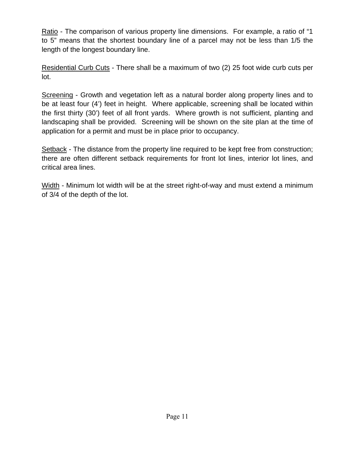Ratio - The comparison of various property line dimensions. For example, a ratio of "1 to 5" means that the shortest boundary line of a parcel may not be less than 1/5 the length of the longest boundary line.

Residential Curb Cuts - There shall be a maximum of two (2) 25 foot wide curb cuts per lot.

Screening - Growth and vegetation left as a natural border along property lines and to be at least four (4') feet in height. Where applicable, screening shall be located within the first thirty (30') feet of all front yards. Where growth is not sufficient, planting and landscaping shall be provided. Screening will be shown on the site plan at the time of application for a permit and must be in place prior to occupancy.

Setback - The distance from the property line required to be kept free from construction; there are often different setback requirements for front lot lines, interior lot lines, and critical area lines.

Width - Minimum lot width will be at the street right-of-way and must extend a minimum of 3/4 of the depth of the lot.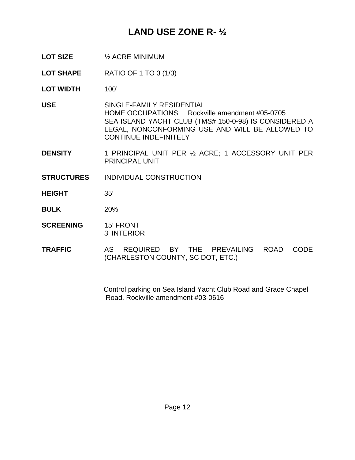# **LAND USE ZONE R- ½**

**LOT SIZE** ½ ACRE MINIMUM

**LOT SHAPE** RATIO OF 1 TO 3 (1/3)

**LOT WIDTH** 100'

**USE** SINGLE-FAMILY RESIDENTIAL HOME OCCUPATIONS Rockville amendment #05-0705 SEA ISLAND YACHT CLUB (TMS# 150-0-98) IS CONSIDERED A LEGAL, NONCONFORMING USE AND WILL BE ALLOWED TO CONTINUE INDEFINITELY

- **DENSITY** 1 PRINCIPAL UNIT PER ½ ACRE; 1 ACCESSORY UNIT PER PRINCIPAL UNIT
- **STRUCTURES** INDIVIDUAL CONSTRUCTION
- **HEIGHT** 35'
- **BULK** 20%
- **SCREENING** 15' FRONT 3' INTERIOR
- **TRAFFIC** AS REQUIRED BY THE PREVAILING ROAD CODE (CHARLESTON COUNTY, SC DOT, ETC.)

 Control parking on Sea Island Yacht Club Road and Grace Chapel Road. Rockville amendment #03-0616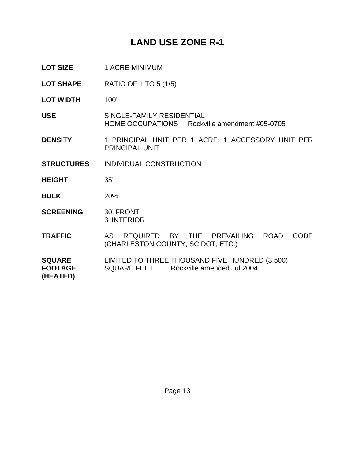# **LAND USE ZONE R-1**

- LOT SIZE 1 ACRE MINIMUM
- **LOT SHAPE** RATIO OF 1 TO 5 (1/5)
- LOT WIDTH 100'
- **USE** SINGLE-FAMILY RESIDENTIAL HOME OCCUPATIONS Rockville amendment #05-0705
- **DENSITY** 1 PRINCIPAL UNIT PER 1 ACRE; 1 ACCESSORY UNIT PER PRINCIPAL UNIT
- **STRUCTURES** INDIVIDUAL CONSTRUCTION
- **HEIGHT** 35'
- **BULK** 20%
- **SCREENING** 30' FRONT 3' INTERIOR
- **TRAFFIC** AS REQUIRED BY THE PREVAILING ROAD CODE (CHARLESTON COUNTY, SC DOT, ETC.)
- **SQUARE** LIMITED TO THREE THOUSAND FIVE HUNDRED (3,500) **FOOTAGE** SQUARE FEET Rockville amended Jul 2004. **(HEATED)**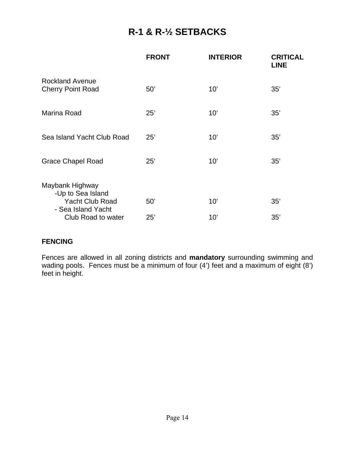# **R-1 & R-½ SETBACKS**

|                                                                | <b>FRONT</b> | <b>INTERIOR</b> | <b>CRITICAL</b><br><b>LINE</b> |
|----------------------------------------------------------------|--------------|-----------------|--------------------------------|
| <b>Rockland Avenue</b><br><b>Cherry Point Road</b>             | 50'          | 10'             | 35'                            |
| Marina Road                                                    | 25'          | 10'             | 35'                            |
| Sea Island Yacht Club Road                                     | 25'          | 10'             | 35'                            |
| <b>Grace Chapel Road</b>                                       | 25'          | 10'             | 35'                            |
| Maybank Highway<br>-Up to Sea Island<br><b>Yacht Club Road</b> | 50'          | 10'             | 35'                            |
| - Sea Island Yacht<br>Club Road to water                       | 25'          | 10'             | 35'                            |

## **FENCING**

Fences are allowed in all zoning districts and **mandatory** surrounding swimming and wading pools. Fences must be a minimum of four (4') feet and a maximum of eight (8') feet in height.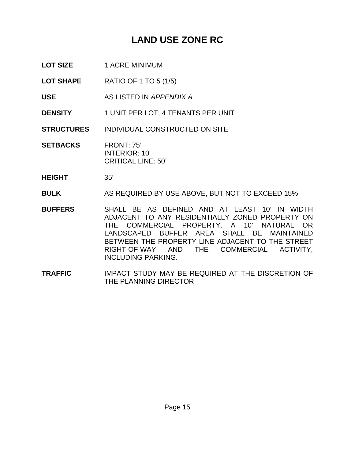# **LAND USE ZONE RC**

- LOT SIZE 1 ACRE MINIMUM
- **LOT SHAPE** RATIO OF 1 TO 5 (1/5)
- **USE** AS LISTED IN *APPENDIX A*
- **DENSITY** 1 UNIT PER LOT; 4 TENANTS PER UNIT
- **STRUCTURES** INDIVIDUAL CONSTRUCTED ON SITE
- **SETBACKS** FRONT: 75' INTERIOR: 10' CRITICAL LINE: 50'
- **HEIGHT** 35'
- **BULK** AS REQUIRED BY USE ABOVE, BUT NOT TO EXCEED 15%
- **BUFFERS** SHALL BE AS DEFINED AND AT LEAST 10' IN WIDTH ADJACENT TO ANY RESIDENTIALLY ZONED PROPERTY ON THE COMMERCIAL PROPERTY. A 10' NATURAL OR LANDSCAPED BUFFER AREA SHALL BE MAINTAINED BETWEEN THE PROPERTY LINE ADJACENT TO THE STREET RIGHT-OF-WAY AND THE COMMERCIAL ACTIVITY, INCLUDING PARKING.
- **TRAFFIC** IMPACT STUDY MAY BE REQUIRED AT THE DISCRETION OF THE PLANNING DIRECTOR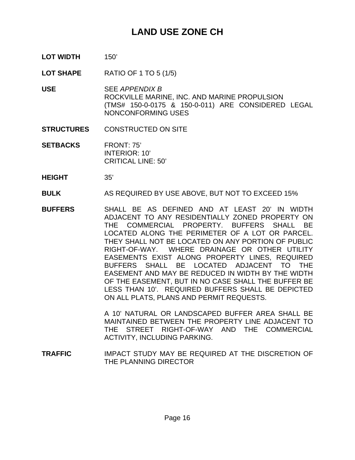# **LAND USE ZONE CH**

- **LOT WIDTH** 150'
- **LOT SHAPE** RATIO OF 1 TO 5 (1/5)
- **USE** SEE *APPENDIX B* ROCKVILLE MARINE, INC. AND MARINE PROPULSION (TMS# 150-0-0175 & 150-0-011) ARE CONSIDERED LEGAL NONCONFORMING USES
- **STRUCTURES** CONSTRUCTED ON SITE
- **SETBACKS** FRONT: 75' INTERIOR: 10' CRITICAL LINE: 50'
- **HEIGHT** 35'
- **BULK** AS REQUIRED BY USE ABOVE, BUT NOT TO EXCEED 15%
- **BUFFERS** SHALL BE AS DEFINED AND AT LEAST 20' IN WIDTH ADJACENT TO ANY RESIDENTIALLY ZONED PROPERTY ON THE COMMERCIAL PROPERTY. BUFFERS SHALL BE LOCATED ALONG THE PERIMETER OF A LOT OR PARCEL. THEY SHALL NOT BE LOCATED ON ANY PORTION OF PUBLIC RIGHT-OF-WAY. WHERE DRAINAGE OR OTHER UTILITY EASEMENTS EXIST ALONG PROPERTY LINES, REQUIRED BUFFERS SHALL BE LOCATED ADJACENT TO THE EASEMENT AND MAY BE REDUCED IN WIDTH BY THE WIDTH OF THE EASEMENT, BUT IN NO CASE SHALL THE BUFFER BE LESS THAN 10'. REQUIRED BUFFERS SHALL BE DEPICTED ON ALL PLATS, PLANS AND PERMIT REQUESTS.

 A 10' NATURAL OR LANDSCAPED BUFFER AREA SHALL BE MAINTAINED BETWEEN THE PROPERTY LINE ADJACENT TO THE STREET RIGHT-OF-WAY AND THE COMMERCIAL ACTIVITY, INCLUDING PARKING.

**TRAFFIC** IMPACT STUDY MAY BE REQUIRED AT THE DISCRETION OF THE PLANNING DIRECTOR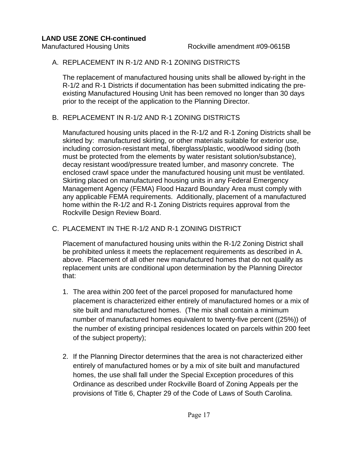### **LAND USE ZONE CH-continued**

## A. REPLACEMENT IN R-1/2 AND R-1 ZONING DISTRICTS

The replacement of manufactured housing units shall be allowed by-right in the R-1/2 and R-1 Districts if documentation has been submitted indicating the preexisting Manufactured Housing Unit has been removed no longer than 30 days prior to the receipt of the application to the Planning Director.

# B. REPLACEMENT IN R-1/2 AND R-1 ZONING DISTRICTS

Manufactured housing units placed in the R-1/2 and R-1 Zoning Districts shall be skirted by: manufactured skirting, or other materials suitable for exterior use, including corrosion-resistant metal, fiberglass/plastic, wood/wood siding (both must be protected from the elements by water resistant solution/substance), decay resistant wood/pressure treated lumber, and masonry concrete. The enclosed crawl space under the manufactured housing unit must be ventilated. Skirting placed on manufactured housing units in any Federal Emergency Management Agency (FEMA) Flood Hazard Boundary Area must comply with any applicable FEMA requirements. Additionally, placement of a manufactured home within the R-1/2 and R-1 Zoning Districts requires approval from the Rockville Design Review Board.

# C. PLACEMENT IN THE R-1/2 AND R-1 ZONING DISTRICT

Placement of manufactured housing units within the R-1/2 Zoning District shall be prohibited unless it meets the replacement requirements as described in A. above. Placement of all other new manufactured homes that do not qualify as replacement units are conditional upon determination by the Planning Director that:

- 1. The area within 200 feet of the parcel proposed for manufactured home placement is characterized either entirely of manufactured homes or a mix of site built and manufactured homes. (The mix shall contain a minimum number of manufactured homes equivalent to twenty-five percent ((25%)) of the number of existing principal residences located on parcels within 200 feet of the subject property);
- 2. If the Planning Director determines that the area is not characterized either entirely of manufactured homes or by a mix of site built and manufactured homes, the use shall fall under the Special Exception procedures of this Ordinance as described under Rockville Board of Zoning Appeals per the provisions of Title 6, Chapter 29 of the Code of Laws of South Carolina.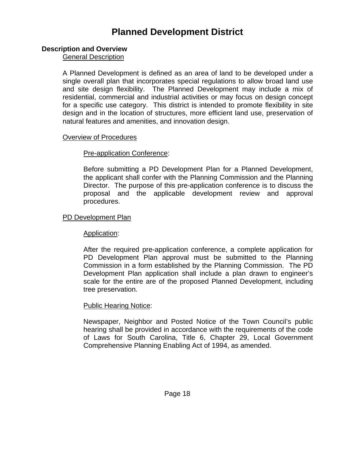# **Planned Development District**

### **Description and Overview**

General Description

 A Planned Development is defined as an area of land to be developed under a single overall plan that incorporates special regulations to allow broad land use and site design flexibility. The Planned Development may include a mix of residential, commercial and industrial activities or may focus on design concept for a specific use category. This district is intended to promote flexibility in site design and in the location of structures, more efficient land use, preservation of natural features and amenities, and innovation design.

#### Overview of Procedures

### Pre-application Conference:

 Before submitting a PD Development Plan for a Planned Development, the applicant shall confer with the Planning Commission and the Planning Director. The purpose of this pre-application conference is to discuss the proposal and the applicable development review and approval procedures.

## PD Development Plan

### Application:

 After the required pre-application conference, a complete application for PD Development Plan approval must be submitted to the Planning Commission in a form established by the Planning Commission. The PD Development Plan application shall include a plan drawn to engineer's scale for the entire are of the proposed Planned Development, including tree preservation.

### Public Hearing Notice:

 Newspaper, Neighbor and Posted Notice of the Town Council's public hearing shall be provided in accordance with the requirements of the code of Laws for South Carolina, Title 6, Chapter 29, Local Government Comprehensive Planning Enabling Act of 1994, as amended.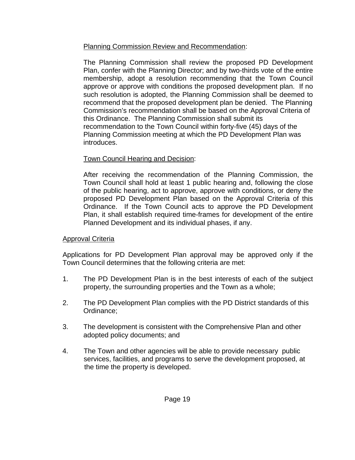# Planning Commission Review and Recommendation:

 The Planning Commission shall review the proposed PD Development Plan, confer with the Planning Director; and by two-thirds vote of the entire membership, adopt a resolution recommending that the Town Council approve or approve with conditions the proposed development plan. If no such resolution is adopted, the Planning Commission shall be deemed to recommend that the proposed development plan be denied. The Planning Commission's recommendation shall be based on the Approval Criteria of this Ordinance. The Planning Commission shall submit its recommendation to the Town Council within forty-five (45) days of the Planning Commission meeting at which the PD Development Plan was introduces.

# Town Council Hearing and Decision:

 After receiving the recommendation of the Planning Commission, the Town Council shall hold at least 1 public hearing and, following the close of the public hearing, act to approve, approve with conditions, or deny the proposed PD Development Plan based on the Approval Criteria of this Ordinance. If the Town Council acts to approve the PD Development Plan, it shall establish required time-frames for development of the entire Planned Development and its individual phases, if any.

# Approval Criteria

 Applications for PD Development Plan approval may be approved only if the Town Council determines that the following criteria are met:

- 1. The PD Development Plan is in the best interests of each of the subject property, the surrounding properties and the Town as a whole;
- 2. The PD Development Plan complies with the PD District standards of this Ordinance;
- 3. The development is consistent with the Comprehensive Plan and other adopted policy documents; and
- 4. The Town and other agencies will be able to provide necessary public services, facilities, and programs to serve the development proposed, at the time the property is developed.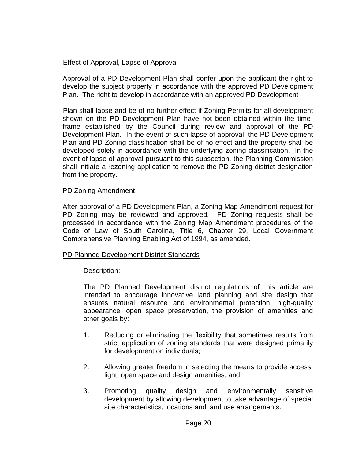## Effect of Approval, Lapse of Approval

 Approval of a PD Development Plan shall confer upon the applicant the right to develop the subject property in accordance with the approved PD Development Plan. The right to develop in accordance with an approved PD Development

 Plan shall lapse and be of no further effect if Zoning Permits for all development shown on the PD Development Plan have not been obtained within the timeframe established by the Council during review and approval of the PD Development Plan. In the event of such lapse of approval, the PD Development Plan and PD Zoning classification shall be of no effect and the property shall be developed solely in accordance with the underlying zoning classification. In the event of lapse of approval pursuant to this subsection, the Planning Commission shall initiate a rezoning application to remove the PD Zoning district designation from the property.

### PD Zoning Amendment

After approval of a PD Development Plan, a Zoning Map Amendment request for PD Zoning may be reviewed and approved. PD Zoning requests shall be processed in accordance with the Zoning Map Amendment procedures of the Code of Law of South Carolina, Title 6, Chapter 29, Local Government Comprehensive Planning Enabling Act of 1994, as amended.

### PD Planned Development District Standards

### Description:

 The PD Planned Development district regulations of this article are intended to encourage innovative land planning and site design that ensures natural resource and environmental protection, high-quality appearance, open space preservation, the provision of amenities and other goals by:

- 1. Reducing or eliminating the flexibility that sometimes results from strict application of zoning standards that were designed primarily for development on individuals;
- 2. Allowing greater freedom in selecting the means to provide access, light, open space and design amenities; and
- 3. Promoting quality design and environmentally sensitive development by allowing development to take advantage of special site characteristics, locations and land use arrangements.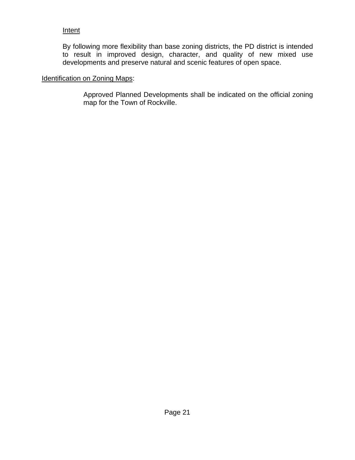## **Intent**

 By following more flexibility than base zoning districts, the PD district is intended to result in improved design, character, and quality of new mixed use developments and preserve natural and scenic features of open space.

## Identification on Zoning Maps:

 Approved Planned Developments shall be indicated on the official zoning map for the Town of Rockville.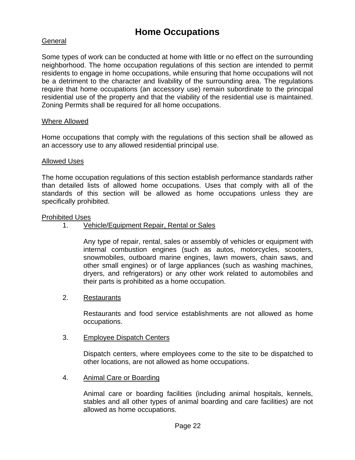# **Home Occupations**

## General

Some types of work can be conducted at home with little or no effect on the surrounding neighborhood. The home occupation regulations of this section are intended to permit residents to engage in home occupations, while ensuring that home occupations will not be a detriment to the character and livability of the surrounding area. The regulations require that home occupations (an accessory use) remain subordinate to the principal residential use of the property and that the viability of the residential use is maintained. Zoning Permits shall be required for all home occupations.

#### Where Allowed

Home occupations that comply with the regulations of this section shall be allowed as an accessory use to any allowed residential principal use.

#### Allowed Uses

The home occupation regulations of this section establish performance standards rather than detailed lists of allowed home occupations. Uses that comply with all of the standards of this section will be allowed as home occupations unless they are specifically prohibited.

#### Prohibited Uses

### 1. Vehicle/Equipment Repair, Rental or Sales

 Any type of repair, rental, sales or assembly of vehicles or equipment with internal combustion engines (such as autos, motorcycles, scooters, snowmobiles, outboard marine engines, lawn mowers, chain saws, and other small engines) or of large appliances (such as washing machines, dryers, and refrigerators) or any other work related to automobiles and their parts is prohibited as a home occupation.

#### 2. Restaurants

 Restaurants and food service establishments are not allowed as home occupations.

#### 3. Employee Dispatch Centers

 Dispatch centers, where employees come to the site to be dispatched to other locations, are not allowed as home occupations.

4. Animal Care or Boarding

 Animal care or boarding facilities (including animal hospitals, kennels, stables and all other types of animal boarding and care facilities) are not allowed as home occupations.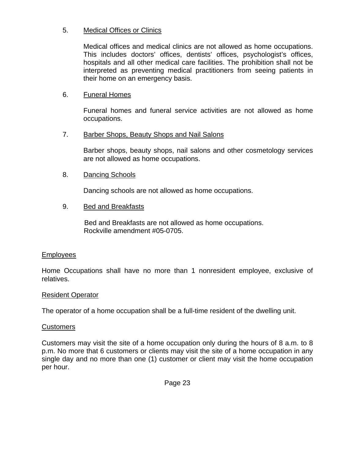## 5. Medical Offices or Clinics

 Medical offices and medical clinics are not allowed as home occupations. This includes doctors' offices, dentists' offices, psychologist's offices, hospitals and all other medical care facilities. The prohibition shall not be interpreted as preventing medical practitioners from seeing patients in their home on an emergency basis.

## 6. Funeral Homes

 Funeral homes and funeral service activities are not allowed as home occupations.

### 7. Barber Shops, Beauty Shops and Nail Salons

 Barber shops, beauty shops, nail salons and other cosmetology services are not allowed as home occupations.

### 8. Dancing Schools

Dancing schools are not allowed as home occupations.

#### 9. Bed and Breakfasts

 Bed and Breakfasts are not allowed as home occupations. Rockville amendment #05-0705.

#### Employees

Home Occupations shall have no more than 1 nonresident employee, exclusive of relatives.

#### Resident Operator

The operator of a home occupation shall be a full-time resident of the dwelling unit.

#### Customers

Customers may visit the site of a home occupation only during the hours of 8 a.m. to 8 p.m. No more that 6 customers or clients may visit the site of a home occupation in any single day and no more than one (1) customer or client may visit the home occupation per hour.

Page 23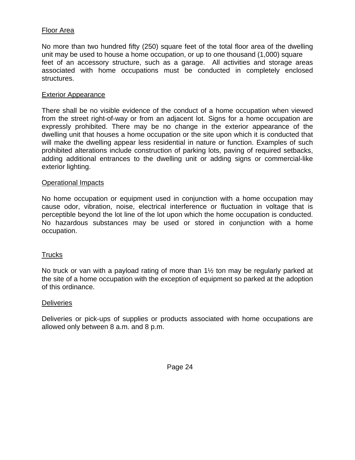### Floor Area

No more than two hundred fifty (250) square feet of the total floor area of the dwelling unit may be used to house a home occupation, or up to one thousand (1,000) square feet of an accessory structure, such as a garage. All activities and storage areas associated with home occupations must be conducted in completely enclosed structures.

#### Exterior Appearance

There shall be no visible evidence of the conduct of a home occupation when viewed from the street right-of-way or from an adjacent lot. Signs for a home occupation are expressly prohibited. There may be no change in the exterior appearance of the dwelling unit that houses a home occupation or the site upon which it is conducted that will make the dwelling appear less residential in nature or function. Examples of such prohibited alterations include construction of parking lots, paving of required setbacks, adding additional entrances to the dwelling unit or adding signs or commercial-like exterior lighting.

#### Operational Impacts

No home occupation or equipment used in conjunction with a home occupation may cause odor, vibration, noise, electrical interference or fluctuation in voltage that is perceptible beyond the lot line of the lot upon which the home occupation is conducted. No hazardous substances may be used or stored in conjunction with a home occupation.

### **Trucks**

No truck or van with a payload rating of more than 1½ ton may be regularly parked at the site of a home occupation with the exception of equipment so parked at the adoption of this ordinance.

#### **Deliveries**

Deliveries or pick-ups of supplies or products associated with home occupations are allowed only between 8 a.m. and 8 p.m.

Page 24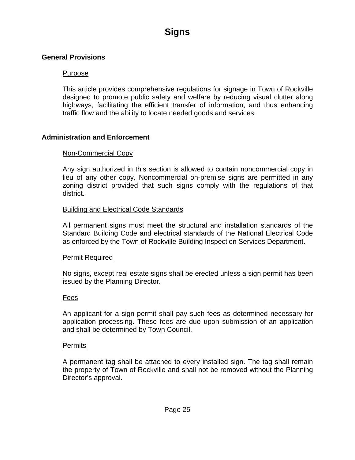# **Signs**

### **General Provisions**

### Purpose

This article provides comprehensive regulations for signage in Town of Rockville designed to promote public safety and welfare by reducing visual clutter along highways, facilitating the efficient transfer of information, and thus enhancing traffic flow and the ability to locate needed goods and services.

## **Administration and Enforcement**

## Non-Commercial Copy

Any sign authorized in this section is allowed to contain noncommercial copy in lieu of any other copy. Noncommercial on-premise signs are permitted in any zoning district provided that such signs comply with the regulations of that district.

### Building and Electrical Code Standards

All permanent signs must meet the structural and installation standards of the Standard Building Code and electrical standards of the National Electrical Code as enforced by the Town of Rockville Building Inspection Services Department.

### Permit Required

No signs, except real estate signs shall be erected unless a sign permit has been issued by the Planning Director.

### Fees

An applicant for a sign permit shall pay such fees as determined necessary for application processing. These fees are due upon submission of an application and shall be determined by Town Council.

### **Permits**

A permanent tag shall be attached to every installed sign. The tag shall remain the property of Town of Rockville and shall not be removed without the Planning Director's approval.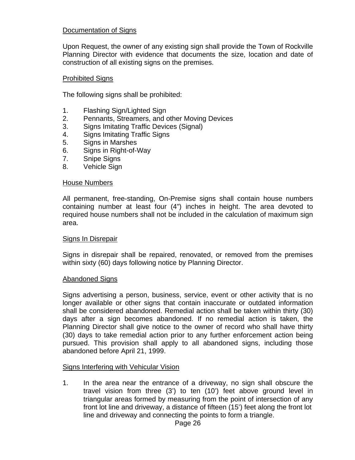## Documentation of Signs

Upon Request, the owner of any existing sign shall provide the Town of Rockville Planning Director with evidence that documents the size, location and date of construction of all existing signs on the premises.

### Prohibited Signs

The following signs shall be prohibited:

- 1. Flashing Sign/Lighted Sign
- 2. Pennants, Streamers, and other Moving Devices
- 3. Signs Imitating Traffic Devices (Signal)
- 4. Signs Imitating Traffic Signs
- 5. Signs in Marshes
- 6. Signs in Right-of-Way
- 7. Snipe Signs
- 8. Vehicle Sign

#### House Numbers

All permanent, free-standing, On-Premise signs shall contain house numbers containing number at least four (4") inches in height. The area devoted to required house numbers shall not be included in the calculation of maximum sign area.

### Signs In Disrepair

Signs in disrepair shall be repaired, renovated, or removed from the premises within sixty (60) days following notice by Planning Director.

#### Abandoned Signs

Signs advertising a person, business, service, event or other activity that is no longer available or other signs that contain inaccurate or outdated information shall be considered abandoned. Remedial action shall be taken within thirty (30) days after a sign becomes abandoned. If no remedial action is taken, the Planning Director shall give notice to the owner of record who shall have thirty (30) days to take remedial action prior to any further enforcement action being pursued. This provision shall apply to all abandoned signs, including those abandoned before April 21, 1999.

### Signs Interfering with Vehicular Vision

1. In the area near the entrance of a driveway, no sign shall obscure the travel vision from three (3') to ten (10') feet above ground level in triangular areas formed by measuring from the point of intersection of any front lot line and driveway, a distance of fifteen (15') feet along the front lot line and driveway and connecting the points to form a triangle.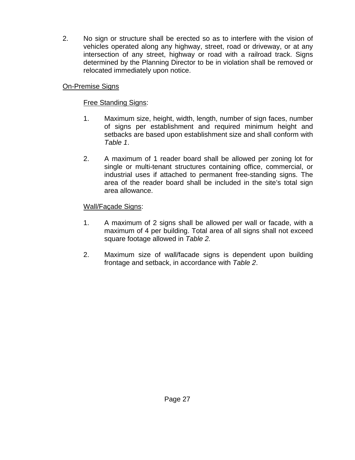2. No sign or structure shall be erected so as to interfere with the vision of vehicles operated along any highway, street, road or driveway, or at any intersection of any street, highway or road with a railroad track. Signs determined by the Planning Director to be in violation shall be removed or relocated immediately upon notice.

# **On-Premise Signs**

# **Free Standing Signs:**

- 1. Maximum size, height, width, length, number of sign faces, number of signs per establishment and required minimum height and setbacks are based upon establishment size and shall conform with *Table 1*.
- 2. A maximum of 1 reader board shall be allowed per zoning lot for single or multi-tenant structures containing office, commercial, or industrial uses if attached to permanent free-standing signs. The area of the reader board shall be included in the site's total sign area allowance.

## Wall/Façade Signs:

- 1. A maximum of 2 signs shall be allowed per wall or facade, with a maximum of 4 per building. Total area of all signs shall not exceed square footage allowed in *Table 2.*
- 2. Maximum size of wall/facade signs is dependent upon building frontage and setback, in accordance with *Table 2*.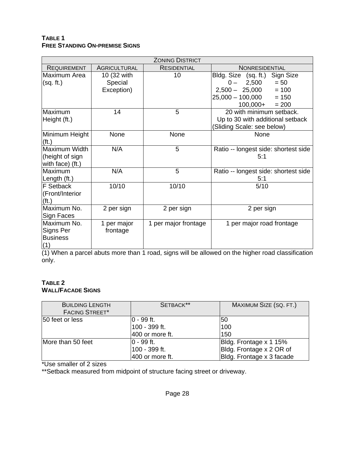#### **TABLE 1 FREE STANDING ON-PREMISE SIGNS**

| <b>ZONING DISTRICT</b>                               |                                      |                      |                                                                                                                                                |
|------------------------------------------------------|--------------------------------------|----------------------|------------------------------------------------------------------------------------------------------------------------------------------------|
| <b>REQUIREMENT</b>                                   | <b>AGRICULTURAL</b>                  | <b>RESIDENTIAL</b>   | NONRESIDENTIAL                                                                                                                                 |
| Maximum Area<br>(sq. ft.)                            | 10 (32 with<br>Special<br>Exception) | 10                   | Bldg. Size (sq. ft.)<br>Sign Size<br>$0 - 2,500$<br>$= 50$<br>$2,500 - 25,000$<br>$= 100$<br>$25,000 - 100,000$<br>$= 150$<br>$100,000+ = 200$ |
| Maximum<br>Height (ft.)                              | 14                                   | 5                    | 20 with minimum setback.<br>Up to 30 with additional setback<br>(Sliding Scale: see below)                                                     |
| Minimum Height<br>(f <sub>t</sub> )                  | None                                 | None                 | None                                                                                                                                           |
| Maximum Width<br>(height of sign<br>with face) (ft.) | N/A                                  | 5                    | Ratio -- longest side: shortest side<br>5:1                                                                                                    |
| Maximum<br>Length (ft.)                              | N/A                                  | 5                    | Ratio -- longest side: shortest side<br>5:1                                                                                                    |
| F Setback<br>(Front/Interior<br>(f <sub>t</sub> )    | 10/10                                | 10/10                | 5/10                                                                                                                                           |
| Maximum No.<br>Sign Faces                            | 2 per sign                           | 2 per sign           | 2 per sign                                                                                                                                     |
| Maximum No.<br>Signs Per<br><b>Business</b><br>(1)   | 1 per major<br>frontage              | 1 per major frontage | 1 per major road frontage                                                                                                                      |

(1) When a parcel abuts more than 1 road, signs will be allowed on the higher road classification only.

#### **TABLE 2 WALL/FACADE SIGNS**

| <b>BUILDING LENGTH</b><br><b>FACING STREET*</b> | SETBACK**       | MAXIMUM SIZE (SQ. FT.)    |
|-------------------------------------------------|-----------------|---------------------------|
| 50 feet or less                                 | $ 0 - 99$ ft.   | 50                        |
|                                                 | 100 - 399 ft.   | 100                       |
|                                                 | 400 or more ft. | 150                       |
| More than 50 feet                               | $ 0 - 99$ ft.   | Bldg. Frontage x 1 15%    |
|                                                 | 100 - 399 ft.   | Bldg. Frontage x 2 OR of  |
|                                                 | 400 or more ft. | Bldg. Frontage x 3 facade |

\*Use smaller of 2 sizes

\*\*Setback measured from midpoint of structure facing street or driveway.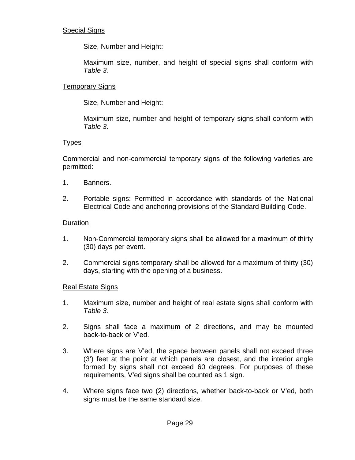## Special Signs

## Size, Number and Height:

Maximum size, number, and height of special signs shall conform with *Table 3.*

## Temporary Signs

## Size, Number and Height:

Maximum size, number and height of temporary signs shall conform with *Table 3*.

## Types

Commercial and non-commercial temporary signs of the following varieties are permitted:

- 1. Banners.
- 2. Portable signs: Permitted in accordance with standards of the National Electrical Code and anchoring provisions of the Standard Building Code.

## Duration

- 1. Non-Commercial temporary signs shall be allowed for a maximum of thirty (30) days per event.
- 2. Commercial signs temporary shall be allowed for a maximum of thirty (30) days, starting with the opening of a business.

### Real Estate Signs

- 1. Maximum size, number and height of real estate signs shall conform with *Table 3*.
- 2. Signs shall face a maximum of 2 directions, and may be mounted back-to-back or V'ed.
- 3. Where signs are V'ed, the space between panels shall not exceed three (3') feet at the point at which panels are closest, and the interior angle formed by signs shall not exceed 60 degrees. For purposes of these requirements, V'ed signs shall be counted as 1 sign.
- 4. Where signs face two (2) directions, whether back-to-back or V'ed, both signs must be the same standard size.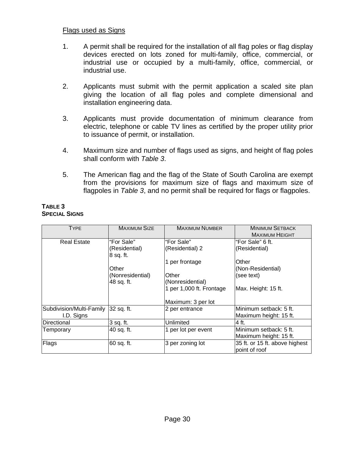## Flags used as Signs

- 1. A permit shall be required for the installation of all flag poles or flag display devices erected on lots zoned for multi-family, office, commercial, or industrial use or occupied by a multi-family, office, commercial, or industrial use.
- 2. Applicants must submit with the permit application a scaled site plan giving the location of all flag poles and complete dimensional and installation engineering data.
- 3. Applicants must provide documentation of minimum clearance from electric, telephone or cable TV lines as certified by the proper utility prior to issuance of permit, or installation.
- 4. Maximum size and number of flags used as signs, and height of flag poles shall conform with *Table 3*.
- 5. The American flag and the flag of the State of South Carolina are exempt from the provisions for maximum size of flags and maximum size of flagpoles in *Table 3*, and no permit shall be required for flags or flagpoles.

#### **TABLE 3 SPECIAL SIGNS**

| <b>TYPE</b>              | <b>MAXIMUM SIZE</b> | <b>MAXIMUM NUMBER</b>    | <b>MINIMUM SETBACK</b>         |
|--------------------------|---------------------|--------------------------|--------------------------------|
|                          |                     |                          | <b>MAXIMUM HEIGHT</b>          |
| <b>Real Estate</b>       | "For Sale"          | "For Sale"               | "For Sale" 6 ft.               |
|                          | (Residential)       | (Residential) 2          | (Residential)                  |
|                          | 8 sq. ft.           |                          |                                |
|                          |                     | 1 per frontage           | Other                          |
|                          | Other               |                          | (Non-Residential)              |
|                          | (Nonresidential)    | Other                    | (see text)                     |
|                          | 48 sq. ft.          | (Nonresidential)         |                                |
|                          |                     | 1 per 1,000 ft. Frontage | Max. Height: 15 ft.            |
|                          |                     |                          |                                |
|                          |                     | Maximum: 3 per lot       |                                |
| Subdivision/Multi-Family | 32 sq. ft.          | 2 per entrance           | Minimum setback: 5 ft.         |
| I.D. Signs               |                     |                          | Maximum height: 15 ft.         |
| Directional              | 3 sq. ft.           | Unlimited                | 4 ft.                          |
| Temporary                | 40 sq. ft.          | 1 per lot per event      | Minimum setback: 5 ft.         |
|                          |                     |                          | Maximum height: 15 ft.         |
| Flags                    | 60 sq. ft.          | 3 per zoning lot         | 35 ft. or 15 ft. above highest |
|                          |                     |                          | point of roof                  |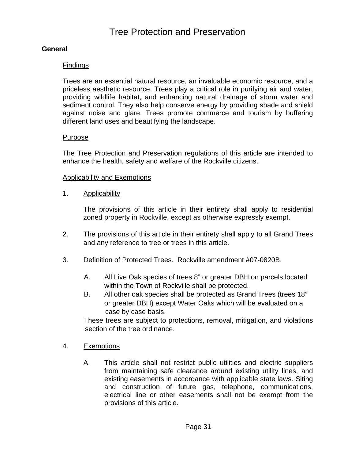# Tree Protection and Preservation

## **General**

### **Findings**

Trees are an essential natural resource, an invaluable economic resource, and a priceless aesthetic resource. Trees play a critical role in purifying air and water, providing wildlife habitat, and enhancing natural drainage of storm water and sediment control. They also help conserve energy by providing shade and shield against noise and glare. Trees promote commerce and tourism by buffering different land uses and beautifying the landscape.

#### Purpose

The Tree Protection and Preservation regulations of this article are intended to enhance the health, safety and welfare of the Rockville citizens.

#### **Applicability and Exemptions**

1. Applicability

 The provisions of this article in their entirety shall apply to residential zoned property in Rockville, except as otherwise expressly exempt.

- 2. The provisions of this article in their entirety shall apply to all Grand Trees and any reference to tree or trees in this article.
- 3. Definition of Protected Trees. Rockville amendment #07-0820B.
	- A. All Live Oak species of trees 8" or greater DBH on parcels located within the Town of Rockville shall be protected.
	- B. All other oak species shall be protected as Grand Trees (trees 18" or greater DBH) except Water Oaks which will be evaluated on a case by case basis.

 These trees are subject to protections, removal, mitigation, and violations section of the tree ordinance.

- 4. Exemptions
	- A. This article shall not restrict public utilities and electric suppliers from maintaining safe clearance around existing utility lines, and existing easements in accordance with applicable state laws. Siting and construction of future gas, telephone, communications, electrical line or other easements shall not be exempt from the provisions of this article.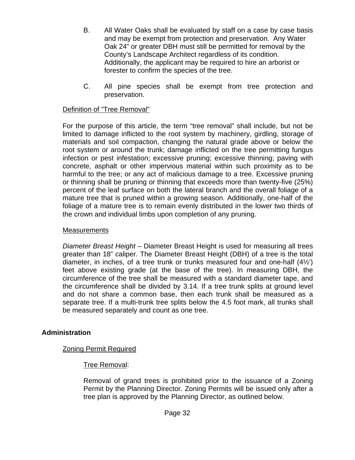- B. All Water Oaks shall be evaluated by staff on a case by case basis and may be exempt from protection and preservation. Any Water Oak 24" or greater DBH must still be permitted for removal by the County's Landscape Architect regardless of its condition. Additionally, the applicant may be required to hire an arborist or forester to confirm the species of the tree.
- C. All pine species shall be exempt from tree protection and preservation.

## Definition of "Tree Removal"

For the purpose of this article, the term "tree removal" shall include, but not be limited to damage inflicted to the root system by machinery, girdling, storage of materials and soil compaction, changing the natural grade above or below the root system or around the trunk; damage inflicted on the tree permitting fungus infection or pest infestation; excessive pruning; excessive thinning; paving with concrete, asphalt or other impervious material within such proximity as to be harmful to the tree; or any act of malicious damage to a tree. Excessive pruning or thinning shall be pruning or thinning that exceeds more than twenty-five (25%) percent of the leaf surface on both the lateral branch and the overall foliage of a mature tree that is pruned within a growing season. Additionally, one-half of the foliage of a mature tree is to remain evenly distributed in the lower two thirds of the crown and individual limbs upon completion of any pruning.

### **Measurements**

*Diameter Breast Height* – Diameter Breast Height is used for measuring all trees greater than 18" caliper. The Diameter Breast Height (DBH) of a tree is the total diameter, in inches, of a tree trunk or trunks measured four and one-half (4½') feet above existing grade (at the base of the tree). In measuring DBH, the circumference of the tree shall be measured with a standard diameter tape, and the circumference shall be divided by 3.14. If a tree trunk splits at ground level and do not share a common base, then each trunk shall be measured as a separate tree. If a multi-trunk tree splits below the 4.5 foot mark, all trunks shall be measured separately and count as one tree.

## **Administration**

## Zoning Permit Required

### Tree Removal:

 Removal of grand trees is prohibited prior to the issuance of a Zoning Permit by the Planning Director. Zoning Permits will be issued only after a tree plan is approved by the Planning Director, as outlined below.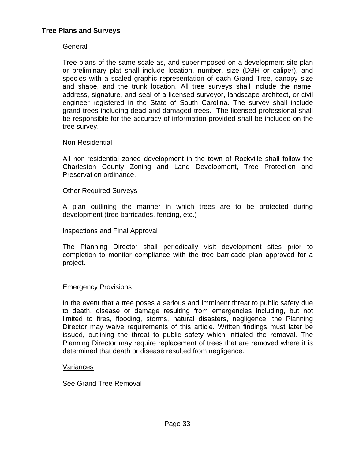### **General**

Tree plans of the same scale as, and superimposed on a development site plan or preliminary plat shall include location, number, size (DBH or caliper), and species with a scaled graphic representation of each Grand Tree, canopy size and shape, and the trunk location. All tree surveys shall include the name, address, signature, and seal of a licensed surveyor, landscape architect, or civil engineer registered in the State of South Carolina. The survey shall include grand trees including dead and damaged trees. The licensed professional shall be responsible for the accuracy of information provided shall be included on the tree survey.

### Non-Residential

 All non-residential zoned development in the town of Rockville shall follow the Charleston County Zoning and Land Development, Tree Protection and Preservation ordinance.

#### Other Required Surveys

 A plan outlining the manner in which trees are to be protected during development (tree barricades, fencing, etc.)

#### Inspections and Final Approval

The Planning Director shall periodically visit development sites prior to completion to monitor compliance with the tree barricade plan approved for a project.

#### Emergency Provisions

In the event that a tree poses a serious and imminent threat to public safety due to death, disease or damage resulting from emergencies including, but not limited to fires, flooding, storms, natural disasters, negligence, the Planning Director may waive requirements of this article. Written findings must later be issued, outlining the threat to public safety which initiated the removal. The Planning Director may require replacement of trees that are removed where it is determined that death or disease resulted from negligence.

#### Variances

#### See Grand Tree Removal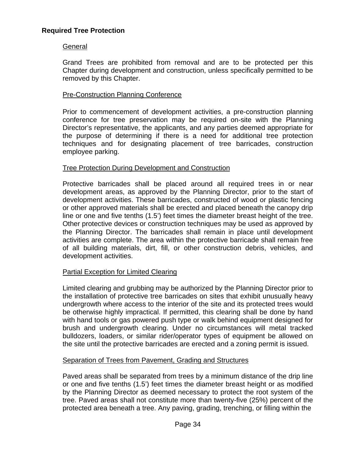## General

Grand Trees are prohibited from removal and are to be protected per this Chapter during development and construction, unless specifically permitted to be removed by this Chapter.

## Pre-Construction Planning Conference

Prior to commencement of development activities, a pre-construction planning conference for tree preservation may be required on-site with the Planning Director's representative, the applicants, and any parties deemed appropriate for the purpose of determining if there is a need for additional tree protection techniques and for designating placement of tree barricades, construction employee parking.

## Tree Protection During Development and Construction

Protective barricades shall be placed around all required trees in or near development areas, as approved by the Planning Director, prior to the start of development activities. These barricades, constructed of wood or plastic fencing or other approved materials shall be erected and placed beneath the canopy drip line or one and five tenths (1.5') feet times the diameter breast height of the tree. Other protective devices or construction techniques may be used as approved by the Planning Director. The barricades shall remain in place until development activities are complete. The area within the protective barricade shall remain free of all building materials, dirt, fill, or other construction debris, vehicles, and development activities.

## Partial Exception for Limited Clearing

Limited clearing and grubbing may be authorized by the Planning Director prior to the installation of protective tree barricades on sites that exhibit unusually heavy undergrowth where access to the interior of the site and its protected trees would be otherwise highly impractical. If permitted, this clearing shall be done by hand with hand tools or gas powered push type or walk behind equipment designed for brush and undergrowth clearing. Under no circumstances will metal tracked bulldozers, loaders, or similar rider/operator types of equipment be allowed on the site until the protective barricades are erected and a zoning permit is issued.

## Separation of Trees from Pavement, Grading and Structures

Paved areas shall be separated from trees by a minimum distance of the drip line or one and five tenths (1.5') feet times the diameter breast height or as modified by the Planning Director as deemed necessary to protect the root system of the tree. Paved areas shall not constitute more than twenty-five (25%) percent of the protected area beneath a tree. Any paving, grading, trenching, or filling within the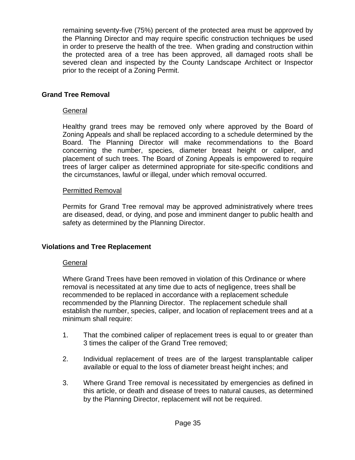remaining seventy-five (75%) percent of the protected area must be approved by the Planning Director and may require specific construction techniques be used in order to preserve the health of the tree. When grading and construction within the protected area of a tree has been approved, all damaged roots shall be severed clean and inspected by the County Landscape Architect or Inspector prior to the receipt of a Zoning Permit.

## **Grand Tree Removal**

### General

Healthy grand trees may be removed only where approved by the Board of Zoning Appeals and shall be replaced according to a schedule determined by the Board. The Planning Director will make recommendations to the Board concerning the number, species, diameter breast height or caliper, and placement of such trees. The Board of Zoning Appeals is empowered to require trees of larger caliper as determined appropriate for site-specific conditions and the circumstances, lawful or illegal, under which removal occurred.

### Permitted Removal

Permits for Grand Tree removal may be approved administratively where trees are diseased, dead, or dying, and pose and imminent danger to public health and safety as determined by the Planning Director.

### **Violations and Tree Replacement**

### General

Where Grand Trees have been removed in violation of this Ordinance or where removal is necessitated at any time due to acts of negligence, trees shall be recommended to be replaced in accordance with a replacement schedule recommended by the Planning Director. The replacement schedule shall establish the number, species, caliper, and location of replacement trees and at a minimum shall require:

- 1. That the combined caliper of replacement trees is equal to or greater than 3 times the caliper of the Grand Tree removed;
- 2. Individual replacement of trees are of the largest transplantable caliper available or equal to the loss of diameter breast height inches; and
- 3. Where Grand Tree removal is necessitated by emergencies as defined in this article, or death and disease of trees to natural causes, as determined by the Planning Director, replacement will not be required.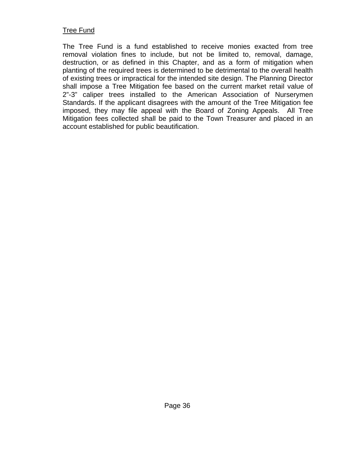## Tree Fund

The Tree Fund is a fund established to receive monies exacted from tree removal violation fines to include, but not be limited to, removal, damage, destruction, or as defined in this Chapter, and as a form of mitigation when planting of the required trees is determined to be detrimental to the overall health of existing trees or impractical for the intended site design. The Planning Director shall impose a Tree Mitigation fee based on the current market retail value of 2"-3" caliper trees installed to the American Association of Nurserymen Standards. If the applicant disagrees with the amount of the Tree Mitigation fee imposed, they may file appeal with the Board of Zoning Appeals. All Tree Mitigation fees collected shall be paid to the Town Treasurer and placed in an account established for public beautification.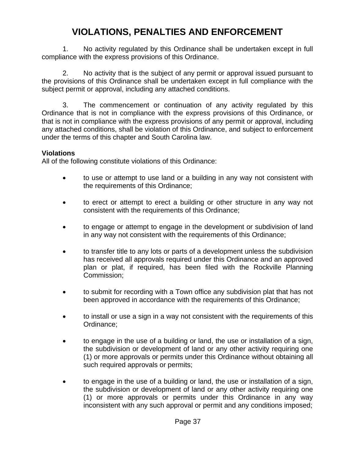# **VIOLATIONS, PENALTIES AND ENFORCEMENT**

1. No activity regulated by this Ordinance shall be undertaken except in full compliance with the express provisions of this Ordinance.

2. No activity that is the subject of any permit or approval issued pursuant to the provisions of this Ordinance shall be undertaken except in full compliance with the subject permit or approval, including any attached conditions.

3. The commencement or continuation of any activity regulated by this Ordinance that is not in compliance with the express provisions of this Ordinance, or that is not in compliance with the express provisions of any permit or approval, including any attached conditions, shall be violation of this Ordinance, and subject to enforcement under the terms of this chapter and South Carolina law.

# **Violations**

All of the following constitute violations of this Ordinance:

- to use or attempt to use land or a building in any way not consistent with the requirements of this Ordinance;
- to erect or attempt to erect a building or other structure in any way not consistent with the requirements of this Ordinance;
- to engage or attempt to engage in the development or subdivision of land in any way not consistent with the requirements of this Ordinance;
- to transfer title to any lots or parts of a development unless the subdivision has received all approvals required under this Ordinance and an approved plan or plat, if required, has been filed with the Rockville Planning Commission;
- to submit for recording with a Town office any subdivision plat that has not been approved in accordance with the requirements of this Ordinance;
- to install or use a sign in a way not consistent with the requirements of this Ordinance;
- to engage in the use of a building or land, the use or installation of a sign, the subdivision or development of land or any other activity requiring one (1) or more approvals or permits under this Ordinance without obtaining all such required approvals or permits;
- to engage in the use of a building or land, the use or installation of a sign, the subdivision or development of land or any other activity requiring one (1) or more approvals or permits under this Ordinance in any way inconsistent with any such approval or permit and any conditions imposed;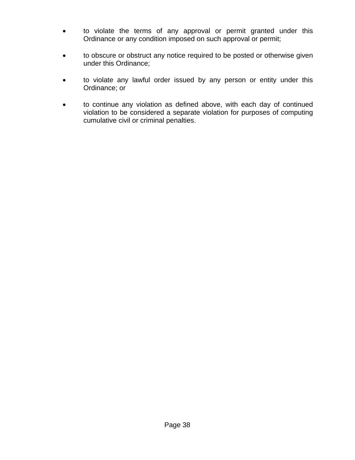- to violate the terms of any approval or permit granted under this Ordinance or any condition imposed on such approval or permit;
- to obscure or obstruct any notice required to be posted or otherwise given under this Ordinance;
- to violate any lawful order issued by any person or entity under this Ordinance; or
- to continue any violation as defined above, with each day of continued violation to be considered a separate violation for purposes of computing cumulative civil or criminal penalties.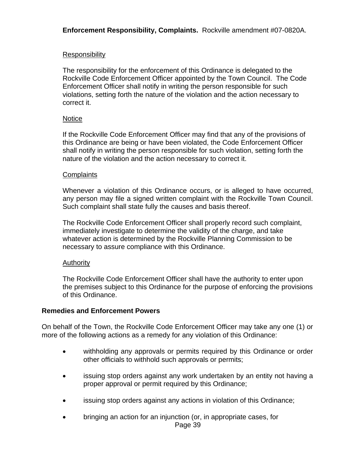**Enforcement Responsibility, Complaints.** Rockville amendment #07-0820A.

## **Responsibility**

The responsibility for the enforcement of this Ordinance is delegated to the Rockville Code Enforcement Officer appointed by the Town Council. The Code Enforcement Officer shall notify in writing the person responsible for such violations, setting forth the nature of the violation and the action necessary to correct it.

#### **Notice**

If the Rockville Code Enforcement Officer may find that any of the provisions of this Ordinance are being or have been violated, the Code Enforcement Officer shall notify in writing the person responsible for such violation, setting forth the nature of the violation and the action necessary to correct it.

#### **Complaints**

Whenever a violation of this Ordinance occurs, or is alleged to have occurred, any person may file a signed written complaint with the Rockville Town Council. Such complaint shall state fully the causes and basis thereof.

The Rockville Code Enforcement Officer shall properly record such complaint, immediately investigate to determine the validity of the charge, and take whatever action is determined by the Rockville Planning Commission to be necessary to assure compliance with this Ordinance.

# Authority

The Rockville Code Enforcement Officer shall have the authority to enter upon the premises subject to this Ordinance for the purpose of enforcing the provisions of this Ordinance.

# **Remedies and Enforcement Powers**

On behalf of the Town, the Rockville Code Enforcement Officer may take any one (1) or more of the following actions as a remedy for any violation of this Ordinance:

- withholding any approvals or permits required by this Ordinance or order other officials to withhold such approvals or permits;
- issuing stop orders against any work undertaken by an entity not having a proper approval or permit required by this Ordinance;
- issuing stop orders against any actions in violation of this Ordinance;
- bringing an action for an injunction (or, in appropriate cases, for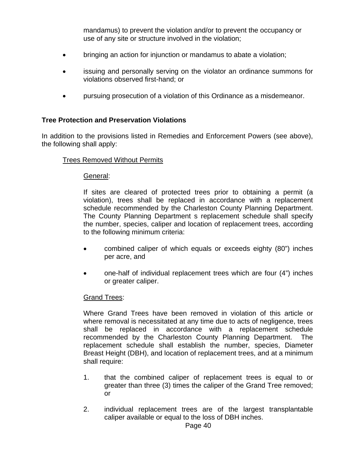mandamus) to prevent the violation and/or to prevent the occupancy or use of any site or structure involved in the violation;

- bringing an action for injunction or mandamus to abate a violation;
- issuing and personally serving on the violator an ordinance summons for violations observed first-hand; or
- pursuing prosecution of a violation of this Ordinance as a misdemeanor.

#### **Tree Protection and Preservation Violations**

In addition to the provisions listed in Remedies and Enforcement Powers (see above), the following shall apply:

#### Trees Removed Without Permits

#### General:

If sites are cleared of protected trees prior to obtaining a permit (a violation), trees shall be replaced in accordance with a replacement schedule recommended by the Charleston County Planning Department. The County Planning Department s replacement schedule shall specify the number, species, caliper and location of replacement trees, according to the following minimum criteria:

- combined caliper of which equals or exceeds eighty (80") inches per acre, and
- one-half of individual replacement trees which are four (4") inches or greater caliper.

#### Grand Trees:

Where Grand Trees have been removed in violation of this article or where removal is necessitated at any time due to acts of negligence, trees shall be replaced in accordance with a replacement schedule recommended by the Charleston County Planning Department. The replacement schedule shall establish the number, species, Diameter Breast Height (DBH), and location of replacement trees, and at a minimum shall require:

- 1. that the combined caliper of replacement trees is equal to or greater than three (3) times the caliper of the Grand Tree removed; or
- 2. individual replacement trees are of the largest transplantable caliper available or equal to the loss of DBH inches.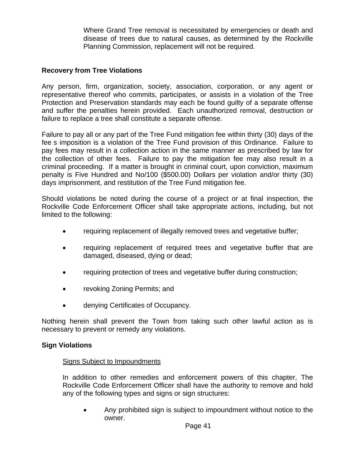Where Grand Tree removal is necessitated by emergencies or death and disease of trees due to natural causes, as determined by the Rockville Planning Commission, replacement will not be required.

### **Recovery from Tree Violations**

Any person, firm, organization, society, association, corporation, or any agent or representative thereof who commits, participates, or assists in a violation of the Tree Protection and Preservation standards may each be found guilty of a separate offense and suffer the penalties herein provided. Each unauthorized removal, destruction or failure to replace a tree shall constitute a separate offense.

Failure to pay all or any part of the Tree Fund mitigation fee within thirty (30) days of the fee s imposition is a violation of the Tree Fund provision of this Ordinance. Failure to pay fees may result in a collection action in the same manner as prescribed by law for the collection of other fees. Failure to pay the mitigation fee may also result in a criminal proceeding. If a matter is brought in criminal court, upon conviction, maximum penalty is Five Hundred and No/100 (\$500.00) Dollars per violation and/or thirty (30) days imprisonment, and restitution of the Tree Fund mitigation fee.

Should violations be noted during the course of a project or at final inspection, the Rockville Code Enforcement Officer shall take appropriate actions, including, but not limited to the following:

- requiring replacement of illegally removed trees and vegetative buffer;
- requiring replacement of required trees and vegetative buffer that are damaged, diseased, dying or dead;
- requiring protection of trees and vegetative buffer during construction;
- revoking Zoning Permits; and
- denying Certificates of Occupancy.

Nothing herein shall prevent the Town from taking such other lawful action as is necessary to prevent or remedy any violations.

#### **Sign Violations**

#### Signs Subject to Impoundments

In addition to other remedies and enforcement powers of this chapter, The Rockville Code Enforcement Officer shall have the authority to remove and hold any of the following types and signs or sign structures:

 Any prohibited sign is subject to impoundment without notice to the owner.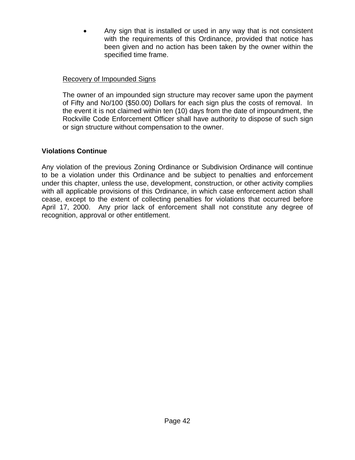Any sign that is installed or used in any way that is not consistent with the requirements of this Ordinance, provided that notice has been given and no action has been taken by the owner within the specified time frame.

# Recovery of Impounded Signs

The owner of an impounded sign structure may recover same upon the payment of Fifty and No/100 (\$50.00) Dollars for each sign plus the costs of removal. In the event it is not claimed within ten (10) days from the date of impoundment, the Rockville Code Enforcement Officer shall have authority to dispose of such sign or sign structure without compensation to the owner.

# **Violations Continue**

Any violation of the previous Zoning Ordinance or Subdivision Ordinance will continue to be a violation under this Ordinance and be subject to penalties and enforcement under this chapter, unless the use, development, construction, or other activity complies with all applicable provisions of this Ordinance, in which case enforcement action shall cease, except to the extent of collecting penalties for violations that occurred before April 17, 2000. Any prior lack of enforcement shall not constitute any degree of recognition, approval or other entitlement.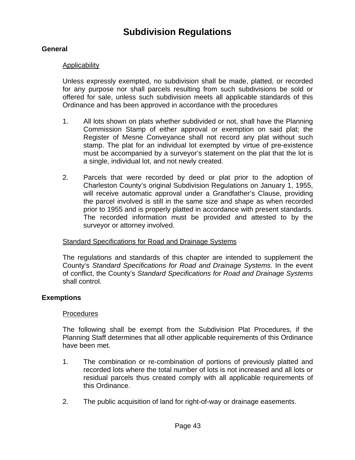# **Subdivision Regulations**

# **General**

### **Applicability**

Unless expressly exempted, no subdivision shall be made, platted, or recorded for any purpose nor shall parcels resulting from such subdivisions be sold or offered for sale, unless such subdivision meets all applicable standards of this Ordinance and has been approved in accordance with the procedures

- 1. All lots shown on plats whether subdivided or not, shall have the Planning Commission Stamp of either approval or exemption on said plat; the Register of Mesne Conveyance shall not record any plat without such stamp. The plat for an individual lot exempted by virtue of pre-existence must be accompanied by a surveyor's statement on the plat that the lot is a single, individual lot, and not newly created.
- 2. Parcels that were recorded by deed or plat prior to the adoption of Charleston County's original Subdivision Regulations on January 1, 1955, will receive automatic approval under a Grandfather's Clause, providing the parcel involved is still in the same size and shape as when recorded prior to 1955 and is properly platted in accordance with present standards. The recorded information must be provided and attested to by the surveyor or attorney involved.

#### Standard Specifications for Road and Drainage Systems

The regulations and standards of this chapter are intended to supplement the County's *Standard Specifications for Road and Drainage Systems.* In the event of conflict, the County's *Standard Specifications for Road and Drainage Systems* shall control.

#### **Exemptions**

#### Procedures

The following shall be exempt from the Subdivision Plat Procedures, if the Planning Staff determines that all other applicable requirements of this Ordinance have been met.

- 1. The combination or re-combination of portions of previously platted and recorded lots where the total number of lots is not increased and all lots or residual parcels thus created comply with all applicable requirements of this Ordinance.
- 2. The public acquisition of land for right-of-way or drainage easements.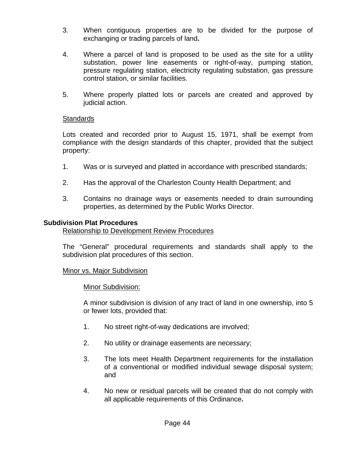- 3. When contiguous properties are to be divided for the purpose of exchanging or trading parcels of land**.**
- 4. Where a parcel of land is proposed to be used as the site for a utility substation, power line easements or right-of-way, pumping station, pressure regulating station, electricity regulating substation, gas pressure control station, or similar facilities.
- 5. Where properly platted lots or parcels are created and approved by judicial action.

#### Standards

Lots created and recorded prior to August 15, 1971, shall be exempt from compliance with the design standards of this chapter, provided that the subject property:

- 1.Was or is surveyed and platted in accordance with prescribed standards;
- 2. Has the approval of the Charleston County Health Department; and
- 3. Contains no drainage ways or easements needed to drain surrounding properties, as determined by the Public Works Director.

#### **Subdivision Plat Procedures**

#### Relationship to Development Review Procedures

The "General" procedural requirements and standards shall apply to the subdivision plat procedures of this section.

#### Minor vs. Major Subdivision

#### Minor Subdivision:

A minor subdivision is division of any tract of land in one ownership, into 5 or fewer lots, provided that:

- 1. No street right-of-way dedications are involved;
- 2. No utility or drainage easements are necessary;
- 3. The lots meet Health Department requirements for the installation of a conventional or modified individual sewage disposal system; and
- 4. No new or residual parcels will be created that do not comply with all applicable requirements of this Ordinance**.**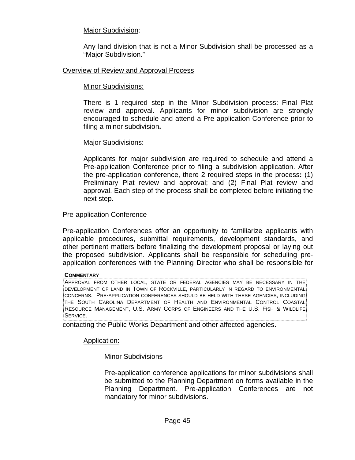### Major Subdivision:

Any land division that is not a Minor Subdivision shall be processed as a "Major Subdivision."

#### Overview of Review and Approval Process

#### Minor Subdivisions:

There is 1 required step in the Minor Subdivision process: Final Plat review and approval. Applicants for minor subdivision are strongly encouraged to schedule and attend a Pre-application Conference prior to filing a minor subdivision**.** 

#### Major Subdivisions:

Applicants for major subdivision are required to schedule and attend a Pre-application Conference prior to filing a subdivision application. After the pre-application conference, there 2 required steps in the process**:** (1) Preliminary Plat review and approval; and (2) Final Plat review and approval. Each step of the process shall be completed before initiating the next step.

#### Pre-application Conference

Pre-application Conferences offer an opportunity to familiarize applicants with applicable procedures, submittal requirements, development standards, and other pertinent matters before finalizing the development proposal or laying out the proposed subdivision. Applicants shall be responsible for scheduling preapplication conferences with the Planning Director who shall be responsible for

#### **COMMENTARY**

 $\dot{\theta}$ APPROVAL FROM OTHER LOCAL, STATE OR FEDERAL AGENCIES MAY BE NECESSARY IN THE DEVELOPMENT OF LAND IN TOWN OF ROCKVILLE, PARTICULARLY IN REGARD TO ENVIRONMENTAL CONCERNS. PRE-APPLICATION CONFERENCES SHOULD BE HELD WITH THESE AGENCIES, INCLUDING THE SOUTH CAROLINA DEPARTMENT OF HEALTH AND ENVIRONMENTAL CONTROL COASTAL RESOURCE MANAGEMENT, U.S. ARMY CORPS OF ENGINEERS AND THE U.S. FISH & WILDLIFE SERVICE.

contacting the Public Works Department and other affected agencies.

#### Application:

Minor Subdivisions

Pre-application conference applications for minor subdivisions shall be submitted to the Planning Department on forms available in the Planning Department. Pre-application Conferences are not mandatory for minor subdivisions.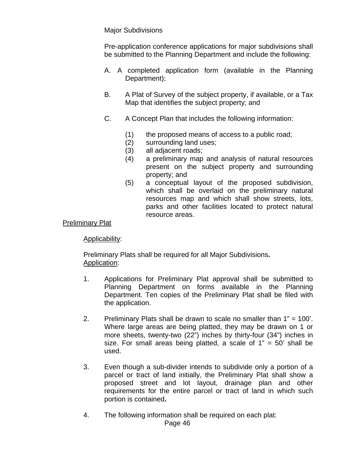### Major Subdivisions

Pre-application conference applications for major subdivisions shall be submitted to the Planning Department and include the following:

- A.A completed application form (available in the Planning Department);
- B.A Plat of Survey of the subject property, if available, or a Tax Map that identifies the subject property; and
- C.A Concept Plan that includes the following information:
	- (1) the proposed means of access to a public road;
	- (2) surrounding land uses;
	- (3) all adjacent roads;
	- (4) a preliminary map and analysis of natural resources present on the subject property and surrounding property; and
	- (5) a conceptual layout of the proposed subdivision, which shall be overlaid on the preliminary natural resources map and which shall show streets, lots, parks and other facilities located to protect natural resource areas.

### Preliminary Plat

Applicability:

 Preliminary Plats shall be required for all Major Subdivisions**.** Application:

- 1.Applications for Preliminary Plat approval shall be submitted to Planning Department on forms available in the Planning Department. Ten copies of the Preliminary Plat shall be filed with the application.
- 2.Preliminary Plats shall be drawn to scale no smaller than 1" = 100'. Where large areas are being platted, they may be drawn on 1 or more sheets, twenty-two (22") inches by thirty-four (34") inches in size. For small areas being platted, a scale of  $1" = 50'$  shall be used.
- 3.Even though a sub-divider intends to subdivide only a portion of a parcel or tract of land initially, the Preliminary Plat shall show a proposed street and lot layout, drainage plan and other requirements for the entire parcel or tract of land in which such portion is contained**.**
- 4.The following information shall be required on each plat: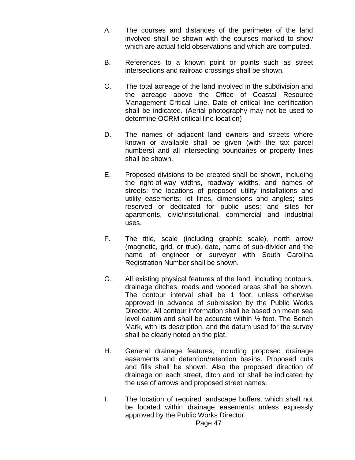- A.The courses and distances of the perimeter of the land involved shall be shown with the courses marked to show which are actual field observations and which are computed.
- B. References to a known point or points such as street intersections and railroad crossings shall be shown.
- C.The total acreage of the land involved in the subdivision and the acreage above the Office of Coastal Resource Management Critical Line. Date of critical line certification shall be indicated. (Aerial photography may not be used to determine OCRM critical line location)
- D. The names of adjacent land owners and streets where known or available shall be given (with the tax parcel numbers) and all intersecting boundaries or property lines shall be shown.
- E.Proposed divisions to be created shall be shown, including the right-of-way widths, roadway widths, and names of streets; the locations of proposed utility installations and utility easements; lot lines, dimensions and angles; sites reserved or dedicated for public uses; and sites for apartments, civic/institutional, commercial and industrial uses.
- F.The title, scale (including graphic scale), north arrow (magnetic, grid, or true), date, name of sub-divider and the name of engineer or surveyor with South Carolina Registration Number shall be shown.
- G.All existing physical features of the land, including contours, drainage ditches, roads and wooded areas shall be shown. The contour interval shall be 1 foot, unless otherwise approved in advance of submission by the Public Works Director. All contour information shall be based on mean sea level datum and shall be accurate within ½ foot. The Bench Mark, with its description, and the datum used for the survey shall be clearly noted on the plat.
- H.General drainage features, including proposed drainage easements and detention/retention basins. Proposed cuts and fills shall be shown. Also the proposed direction of drainage on each street, ditch and lot shall be indicated by the use of arrows and proposed street names.
- I.The location of required landscape buffers, which shall not be located within drainage easements unless expressly approved by the Public Works Director.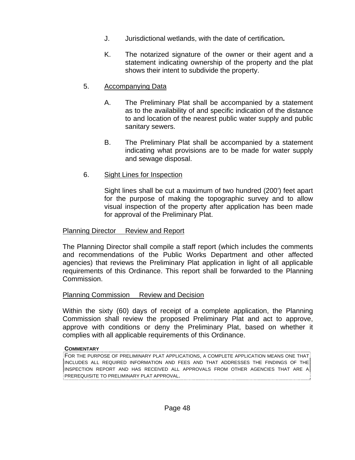- J.Jurisdictional wetlands, with the date of certification**.**
- K.The notarized signature of the owner or their agent and a statement indicating ownership of the property and the plat shows their intent to subdivide the property.

# 5.Accompanying Data

- A.The Preliminary Plat shall be accompanied by a statement as to the availability of and specific indication of the distance to and location of the nearest public water supply and public sanitary sewers.
- B.The Preliminary Plat shall be accompanied by a statement indicating what provisions are to be made for water supply and sewage disposal.
- 6. Sight Lines for Inspection

Sight lines shall be cut a maximum of two hundred (200') feet apart for the purpose of making the topographic survey and to allow visual inspection of the property after application has been made for approval of the Preliminary Plat.

# Planning Director Review and Report

The Planning Director shall compile a staff report (which includes the comments and recommendations of the Public Works Department and other affected agencies) that reviews the Preliminary Plat application in light of all applicable requirements of this Ordinance. This report shall be forwarded to the Planning Commission.

# Planning Commission Review and Decision

Within the sixty (60) days of receipt of a complete application, the Planning Commission shall review the proposed Preliminary Plat and act to approve, approve with conditions or deny the Preliminary Plat, based on whether it complies with all applicable requirements of this Ordinance.

#### **COMMENTARY**

FOR THE PURPOSE OF PRELIMINARY PLAT APPLICATIONS, A COMPLETE APPLICATION MEANS ONE THAT  $\,{}^{1}_{\,{}^{2}}$ INCLUDES ALL REQUIRED INFORMATION AND FEES AND THAT ADDRESSES THE FINDINGS OF THE $\,{}^{1}_{\,{}^{2}}$ INSPECTION REPORT AND HAS RECEIVED ALL APPROVALS FROM OTHER AGENCIES THAT ARE A  $\overline{\text{}}$ PREREQUISITE TO PRELIMINARY PLAT APPROVAL.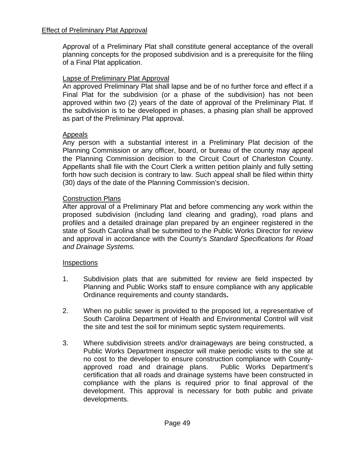Approval of a Preliminary Plat shall constitute general acceptance of the overall planning concepts for the proposed subdivision and is a prerequisite for the filing of a Final Plat application.

# Lapse of Preliminary Plat Approval

An approved Preliminary Plat shall lapse and be of no further force and effect if a Final Plat for the subdivision (or a phase of the subdivision) has not been approved within two (2) years of the date of approval of the Preliminary Plat. If the subdivision is to be developed in phases, a phasing plan shall be approved as part of the Preliminary Plat approval.

# Appeals

Any person with a substantial interest in a Preliminary Plat decision of the Planning Commission or any officer, board, or bureau of the county may appeal the Planning Commission decision to the Circuit Court of Charleston County. Appellants shall file with the Court Clerk a written petition plainly and fully setting forth how such decision is contrary to law. Such appeal shall be filed within thirty (30) days of the date of the Planning Commission's decision.

# Construction Plans

After approval of a Preliminary Plat and before commencing any work within the proposed subdivision (including land clearing and grading), road plans and profiles and a detailed drainage plan prepared by an engineer registered in the state of South Carolina shall be submitted to the Public Works Director for review and approval in accordance with the County's *Standard Specifications for Road and Drainage Systems.*

# Inspections

- 1.Subdivision plats that are submitted for review are field inspected by Planning and Public Works staff to ensure compliance with any applicable Ordinance requirements and county standards**.**
- 2.When no public sewer is provided to the proposed lot, a representative of South Carolina Department of Health and Environmental Control will visit the site and test the soil for minimum septic system requirements.
- 3.Where subdivision streets and/or drainageways are being constructed, a Public Works Department inspector will make periodic visits to the site at no cost to the developer to ensure construction compliance with Countyapproved road and drainage plans. Public Works Department's certification that all roads and drainage systems have been constructed in compliance with the plans is required prior to final approval of the development. This approval is necessary for both public and private developments.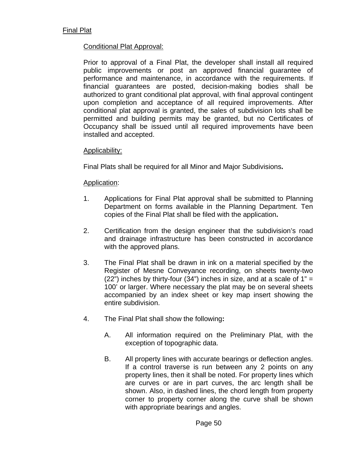### Conditional Plat Approval:

Prior to approval of a Final Plat, the developer shall install all required public improvements or post an approved financial guarantee of performance and maintenance, in accordance with the requirements. If financial guarantees are posted, decision-making bodies shall be authorized to grant conditional plat approval, with final approval contingent upon completion and acceptance of all required improvements. After conditional plat approval is granted, the sales of subdivision lots shall be permitted and building permits may be granted, but no Certificates of Occupancy shall be issued until all required improvements have been installed and accepted.

#### Applicability:

Final Plats shall be required for all Minor and Major Subdivisions**.** 

#### Application:

- 1.Applications for Final Plat approval shall be submitted to Planning Department on forms available in the Planning Department. Ten copies of the Final Plat shall be filed with the application**.**
- 2.Certification from the design engineer that the subdivision's road and drainage infrastructure has been constructed in accordance with the approved plans.
- 3.The Final Plat shall be drawn in ink on a material specified by the Register of Mesne Conveyance recording, on sheets twenty-two (22") inches by thirty-four (34") inches in size, and at a scale of  $1" =$ 100' or larger. Where necessary the plat may be on several sheets accompanied by an index sheet or key map insert showing the entire subdivision.
- 4.The Final Plat shall show the following**:** 
	- A. All information required on the Preliminary Plat, with the exception of topographic data.
	- B. All property lines with accurate bearings or deflection angles. If a control traverse is run between any 2 points on any property lines, then it shall be noted. For property lines which are curves or are in part curves, the arc length shall be shown. Also, in dashed lines, the chord length from property corner to property corner along the curve shall be shown with appropriate bearings and angles.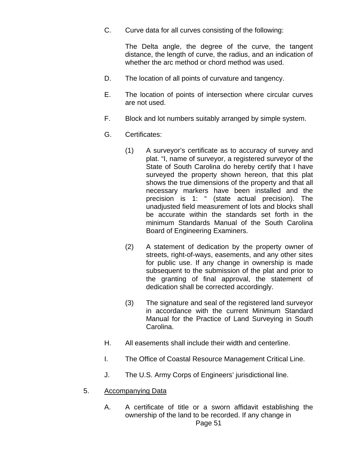C. Curve data for all curves consisting of the following:

 The Delta angle, the degree of the curve, the tangent distance, the length of curve, the radius, and an indication of whether the arc method or chord method was used.

- D. The location of all points of curvature and tangency.
- E. The location of points of intersection where circular curves are not used.
- F. Block and lot numbers suitably arranged by simple system.
- G. Certificates:
	- (1) A surveyor's certificate as to accuracy of survey and plat. "I, name of surveyor, a registered surveyor of the State of South Carolina do hereby certify that I have surveyed the property shown hereon, that this plat shows the true dimensions of the property and that all necessary markers have been installed and the precision is 1: " (state actual precision). The unadjusted field measurement of lots and blocks shall be accurate within the standards set forth in the minimum Standards Manual of the South Carolina Board of Engineering Examiners.
	- (2) A statement of dedication by the property owner of streets, right-of-ways, easements, and any other sites for public use. If any change in ownership is made subsequent to the submission of the plat and prior to the granting of final approval, the statement of dedication shall be corrected accordingly.
	- (3) The signature and seal of the registered land surveyor in accordance with the current Minimum Standard Manual for the Practice of Land Surveying in South Carolina.
- H. All easements shall include their width and centerline.
- I. The Office of Coastal Resource Management Critical Line.
- J. The U.S. Army Corps of Engineers' jurisdictional line.
- 5. Accompanying Data
	- A. A certificate of title or a sworn affidavit establishing the ownership of the land to be recorded. If any change in Page 51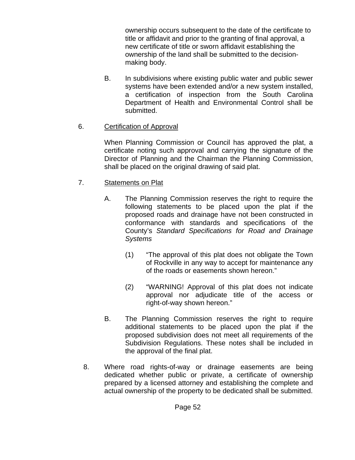ownership occurs subsequent to the date of the certificate to title or affidavit and prior to the granting of final approval, a new certificate of title or sworn affidavit establishing the ownership of the land shall be submitted to the decisionmaking body.

- B. In subdivisions where existing public water and public sewer systems have been extended and/or a new system installed, a certification of inspection from the South Carolina Department of Health and Environmental Control shall be submitted.
- 6. Certification of Approval

When Planning Commission or Council has approved the plat, a certificate noting such approval and carrying the signature of the Director of Planning and the Chairman the Planning Commission, shall be placed on the original drawing of said plat.

- 7. Statements on Plat
	- A. The Planning Commission reserves the right to require the following statements to be placed upon the plat if the proposed roads and drainage have not been constructed in conformance with standards and specifications of the County's *Standard Specifications for Road and Drainage Systems*
		- (1) "The approval of this plat does not obligate the Town of Rockville in any way to accept for maintenance any of the roads or easements shown hereon."
		- (2) "WARNING! Approval of this plat does not indicate approval nor adjudicate title of the access or right-of-way shown hereon."
	- B. The Planning Commission reserves the right to require additional statements to be placed upon the plat if the proposed subdivision does not meet all requirements of the Subdivision Regulations. These notes shall be included in the approval of the final plat.
	- 8. Where road rights-of-way or drainage easements are being dedicated whether public or private, a certificate of ownership prepared by a licensed attorney and establishing the complete and actual ownership of the property to be dedicated shall be submitted.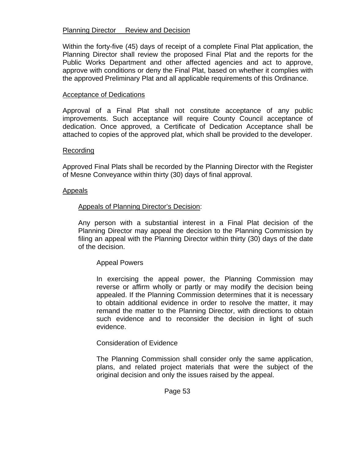### Planning Director Review and Decision

Within the forty-five (45) days of receipt of a complete Final Plat application, the Planning Director shall review the proposed Final Plat and the reports for the Public Works Department and other affected agencies and act to approve, approve with conditions or deny the Final Plat, based on whether it complies with the approved Preliminary Plat and all applicable requirements of this Ordinance.

#### Acceptance of Dedications

Approval of a Final Plat shall not constitute acceptance of any public improvements. Such acceptance will require County Council acceptance of dedication. Once approved, a Certificate of Dedication Acceptance shall be attached to copies of the approved plat, which shall be provided to the developer.

#### Recording

Approved Final Plats shall be recorded by the Planning Director with the Register of Mesne Conveyance within thirty (30) days of final approval.

#### Appeals

#### Appeals of Planning Director's Decision:

Any person with a substantial interest in a Final Plat decision of the Planning Director may appeal the decision to the Planning Commission by filing an appeal with the Planning Director within thirty (30) days of the date of the decision.

#### Appeal Powers

In exercising the appeal power, the Planning Commission may reverse or affirm wholly or partly or may modify the decision being appealed. If the Planning Commission determines that it is necessary to obtain additional evidence in order to resolve the matter, it may remand the matter to the Planning Director, with directions to obtain such evidence and to reconsider the decision in light of such evidence.

#### Consideration of Evidence

The Planning Commission shall consider only the same application, plans, and related project materials that were the subject of the original decision and only the issues raised by the appeal.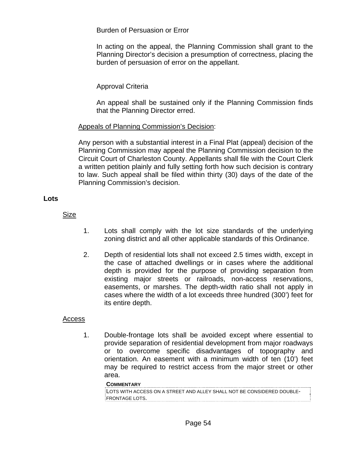Burden of Persuasion or Error

In acting on the appeal, the Planning Commission shall grant to the Planning Director's decision a presumption of correctness, placing the burden of persuasion of error on the appellant.

# Approval Criteria

An appeal shall be sustained only if the Planning Commission finds that the Planning Director erred.

# Appeals of Planning Commission's Decision:

Any person with a substantial interest in a Final Plat (appeal) decision of the Planning Commission may appeal the Planning Commission decision to the Circuit Court of Charleston County. Appellants shall file with the Court Clerk a written petition plainly and fully setting forth how such decision is contrary to law. Such appeal shall be filed within thirty (30) days of the date of the Planning Commission's decision.

# **Lots**

Size

- 1. Lots shall comply with the lot size standards of the underlying zoning district and all other applicable standards of this Ordinance.
- 2. Depth of residential lots shall not exceed 2.5 times width, except in the case of attached dwellings or in cases where the additional depth is provided for the purpose of providing separation from existing major streets or railroads, non-access reservations, easements, or marshes. The depth-width ratio shall not apply in cases where the width of a lot exceeds three hundred (300') feet for its entire depth.

# Access

1. Double-frontage lots shall be avoided except where essential to provide separation of residential development from major roadways or to overcome specific disadvantages of topography and orientation. An easement with a minimum width of ten (10') feet may be required to restrict access from the major street or other area.

#### **COMMENTARY**

```
LOTS WITH ACCESS ON A STREET AND ALLEY SHALL NOT BE CONSIDERED DOUBLE-
FRONTAGE LOTS.
```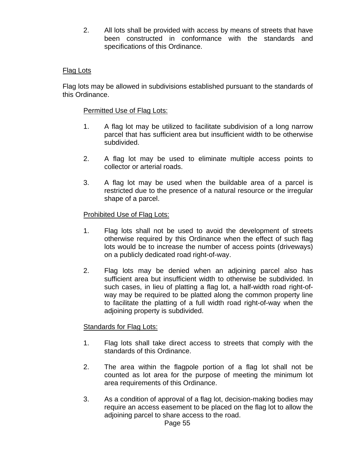2. All lots shall be provided with access by means of streets that have been constructed in conformance with the standards and specifications of this Ordinance.

### Flag Lots

Flag lots may be allowed in subdivisions established pursuant to the standards of this Ordinance.

#### Permitted Use of Flag Lots:

- 1. A flag lot may be utilized to facilitate subdivision of a long narrow parcel that has sufficient area but insufficient width to be otherwise subdivided.
- 2. A flag lot may be used to eliminate multiple access points to collector or arterial roads.
- 3. A flag lot may be used when the buildable area of a parcel is restricted due to the presence of a natural resource or the irregular shape of a parcel.

#### Prohibited Use of Flag Lots:

- 1. Flag lots shall not be used to avoid the development of streets otherwise required by this Ordinance when the effect of such flag lots would be to increase the number of access points (driveways) on a publicly dedicated road right-of-way.
- 2. Flag lots may be denied when an adjoining parcel also has sufficient area but insufficient width to otherwise be subdivided. In such cases, in lieu of platting a flag lot, a half-width road right-ofway may be required to be platted along the common property line to facilitate the platting of a full width road right-of-way when the adjoining property is subdivided.

#### **Standards for Flag Lots:**

- 1. Flag lots shall take direct access to streets that comply with the standards of this Ordinance.
- 2. The area within the flagpole portion of a flag lot shall not be counted as lot area for the purpose of meeting the minimum lot area requirements of this Ordinance.
- 3. As a condition of approval of a flag lot, decision-making bodies may require an access easement to be placed on the flag lot to allow the adjoining parcel to share access to the road.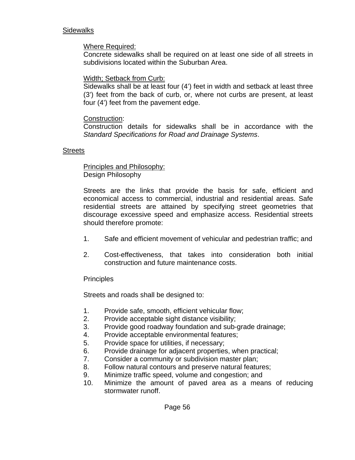#### **Sidewalks**

#### Where Required:

Concrete sidewalks shall be required on at least one side of all streets in subdivisions located within the Suburban Area.

#### Width; Setback from Curb:

Sidewalks shall be at least four (4') feet in width and setback at least three (3') feet from the back of curb, or, where not curbs are present, at least four (4') feet from the pavement edge.

#### Construction:

Construction details for sidewalks shall be in accordance with the *Standard Specifications for Road and Drainage Systems*.

#### **Streets**

 Principles and Philosophy: Design Philosophy

Streets are the links that provide the basis for safe, efficient and economical access to commercial, industrial and residential areas. Safe residential streets are attained by specifying street geometries that discourage excessive speed and emphasize access. Residential streets should therefore promote:

- 1. Safe and efficient movement of vehicular and pedestrian traffic; and
- 2. Cost-effectiveness, that takes into consideration both initial construction and future maintenance costs.

#### **Principles**

Streets and roads shall be designed to:

- 1. Provide safe, smooth, efficient vehicular flow;
- 2. Provide acceptable sight distance visibility;
- 3. Provide good roadway foundation and sub-grade drainage;
- 4. Provide acceptable environmental features;
- 5. Provide space for utilities, if necessary;
- 6. Provide drainage for adjacent properties, when practical;
- 7. Consider a community or subdivision master plan;
- 8. Follow natural contours and preserve natural features;
- 9. Minimize traffic speed, volume and congestion; and
- 10. Minimize the amount of paved area as a means of reducing stormwater runoff.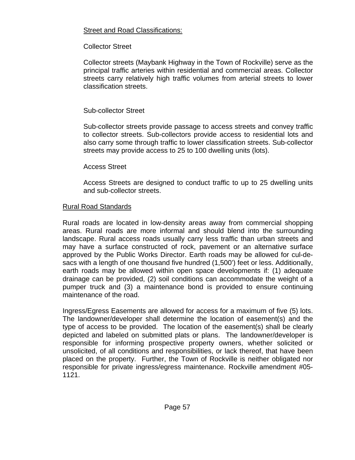# Street and Road Classifications:

# Collector Street

Collector streets (Maybank Highway in the Town of Rockville) serve as the principal traffic arteries within residential and commercial areas. Collector streets carry relatively high traffic volumes from arterial streets to lower classification streets.

# Sub-collector Street

Sub-collector streets provide passage to access streets and convey traffic to collector streets. Sub-collectors provide access to residential lots and also carry some through traffic to lower classification streets. Sub-collector streets may provide access to 25 to 100 dwelling units (lots).

# Access Street

Access Streets are designed to conduct traffic to up to 25 dwelling units and sub-collector streets.

# Rural Road Standards

Rural roads are located in low-density areas away from commercial shopping areas. Rural roads are more informal and should blend into the surrounding landscape. Rural access roads usually carry less traffic than urban streets and may have a surface constructed of rock, pavement or an alternative surface approved by the Public Works Director. Earth roads may be allowed for cul-desacs with a length of one thousand five hundred (1,500') feet or less. Additionally, earth roads may be allowed within open space developments if: (1) adequate drainage can be provided, (2) soil conditions can accommodate the weight of a pumper truck and (3) a maintenance bond is provided to ensure continuing maintenance of the road.

 Ingress/Egress Easements are allowed for access for a maximum of five (5) lots. The landowner/developer shall determine the location of easement(s) and the type of access to be provided. The location of the easement(s) shall be clearly depicted and labeled on submitted plats or plans. The landowner/developer is responsible for informing prospective property owners, whether solicited or unsolicited, of all conditions and responsibilities, or lack thereof, that have been placed on the property. Further, the Town of Rockville is neither obligated nor responsible for private ingress/egress maintenance. Rockville amendment #05- 1121.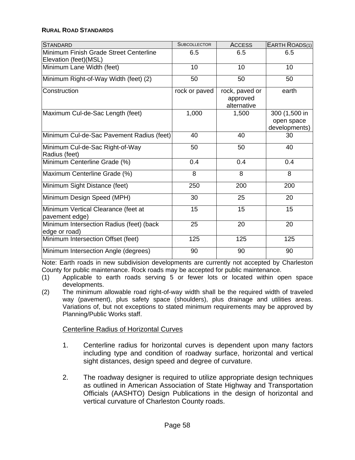#### **RURAL ROAD STANDARDS**

| <b>STANDARD</b>                                                  | <b>SUBCOLLECTOR</b> | <b>ACCESS</b>                             | EARTH ROADS(1)                               |
|------------------------------------------------------------------|---------------------|-------------------------------------------|----------------------------------------------|
| Minimum Finish Grade Street Centerline<br>Elevation (feet) (MSL) | 6.5                 | 6.5                                       | 6.5                                          |
| Minimum Lane Width (feet)                                        | 10                  | 10                                        | 10                                           |
| Minimum Right-of-Way Width (feet) (2)                            | 50                  | 50                                        | 50                                           |
| Construction                                                     | rock or paved       | rock, paved or<br>approved<br>alternative | earth                                        |
| Maximum Cul-de-Sac Length (feet)                                 | 1,000               | 1,500                                     | 300 (1,500 in<br>open space<br>developments) |
| Minimum Cul-de-Sac Pavement Radius (feet)                        | 40                  | 40                                        | 30                                           |
| Minimum Cul-de-Sac Right-of-Way<br>Radius (feet)                 | 50                  | 50                                        | 40                                           |
| Minimum Centerline Grade (%)                                     | 0.4                 | 0.4                                       | 0.4                                          |
| Maximum Centerline Grade (%)                                     | 8                   | 8                                         | 8                                            |
| Minimum Sight Distance (feet)                                    | 250                 | 200                                       | 200                                          |
| Minimum Design Speed (MPH)                                       | 30                  | 25                                        | 20                                           |
| Minimum Vertical Clearance (feet at<br>pavement edge)            | 15                  | 15                                        | 15                                           |
| Minimum Intersection Radius (feet) (back<br>edge or road)        | 25                  | 20                                        | 20                                           |
| Minimum Intersection Offset (feet)                               | 125                 | 125                                       | 125                                          |
| Minimum Intersection Angle (degrees)                             | 90                  | 90                                        | 90                                           |

Note: Earth roads in new subdivision developments are currently not accepted by Charleston County for public maintenance. Rock roads may be accepted for public maintenance.

- (1) Applicable to earth roads serving 5 or fewer lots or located within open space developments.
- (2) The minimum allowable road right-of-way width shall be the required width of traveled way (pavement), plus safety space (shoulders), plus drainage and utilities areas. Variations of, but not exceptions to stated minimum requirements may be approved by Planning/Public Works staff.

#### Centerline Radius of Horizontal Curves

- 1. Centerline radius for horizontal curves is dependent upon many factors including type and condition of roadway surface, horizontal and vertical sight distances, design speed and degree of curvature.
- 2. The roadway designer is required to utilize appropriate design techniques as outlined in American Association of State Highway and Transportation Officials (AASHTO) Design Publications in the design of horizontal and vertical curvature of Charleston County roads.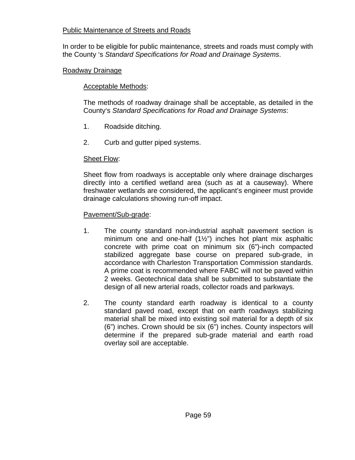# Public Maintenance of Streets and Roads

In order to be eligible for public maintenance, streets and roads must comply with the County 's *Standard Specifications for Road and Drainage Systems*.

#### Roadway Drainage

### Acceptable Methods:

The methods of roadway drainage shall be acceptable, as detailed in the County's *Standard Specifications for Road and Drainage Systems*:

- 1. Roadside ditching.
- 2. Curb and gutter piped systems.

### Sheet Flow:

Sheet flow from roadways is acceptable only where drainage discharges directly into a certified wetland area (such as at a causeway). Where freshwater wetlands are considered, the applicant's engineer must provide drainage calculations showing run-off impact.

#### Pavement/Sub-grade:

- 1. The county standard non-industrial asphalt pavement section is minimum one and one-half (1½") inches hot plant mix asphaltic concrete with prime coat on minimum six (6")-inch compacted stabilized aggregate base course on prepared sub-grade, in accordance with Charleston Transportation Commission standards. A prime coat is recommended where FABC will not be paved within 2 weeks. Geotechnical data shall be submitted to substantiate the design of all new arterial roads, collector roads and parkways.
- 2. The county standard earth roadway is identical to a county standard paved road, except that on earth roadways stabilizing material shall be mixed into existing soil material for a depth of six (6") inches. Crown should be six (6") inches. County inspectors will determine if the prepared sub-grade material and earth road overlay soil are acceptable.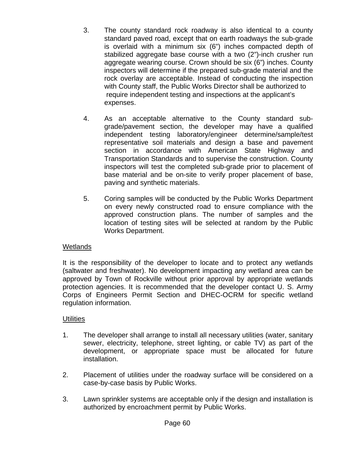- 3. The county standard rock roadway is also identical to a county standard paved road, except that on earth roadways the sub-grade is overlaid with a minimum six (6") inches compacted depth of stabilized aggregate base course with a two (2")-inch crusher run aggregate wearing course. Crown should be six (6") inches. County inspectors will determine if the prepared sub-grade material and the rock overlay are acceptable. Instead of conducting the inspection with County staff, the Public Works Director shall be authorized to require independent testing and inspections at the applicant's expenses.
- 4. As an acceptable alternative to the County standard subgrade/pavement section, the developer may have a qualified independent testing laboratory/engineer determine/sample/test representative soil materials and design a base and pavement section in accordance with American State Highway and Transportation Standards and to supervise the construction. County inspectors will test the completed sub-grade prior to placement of base material and be on-site to verify proper placement of base, paving and synthetic materials.
- 5. Coring samples will be conducted by the Public Works Department on every newly constructed road to ensure compliance with the approved construction plans. The number of samples and the location of testing sites will be selected at random by the Public Works Department.

# Wetlands

It is the responsibility of the developer to locate and to protect any wetlands (saltwater and freshwater). No development impacting any wetland area can be approved by Town of Rockville without prior approval by appropriate wetlands protection agencies. It is recommended that the developer contact U. S. Army Corps of Engineers Permit Section and DHEC-OCRM for specific wetland regulation information.

# **Utilities**

- 1. The developer shall arrange to install all necessary utilities (water, sanitary sewer, electricity, telephone, street lighting, or cable TV) as part of the development, or appropriate space must be allocated for future installation.
- 2. Placement of utilities under the roadway surface will be considered on a case-by-case basis by Public Works.
- 3. Lawn sprinkler systems are acceptable only if the design and installation is authorized by encroachment permit by Public Works.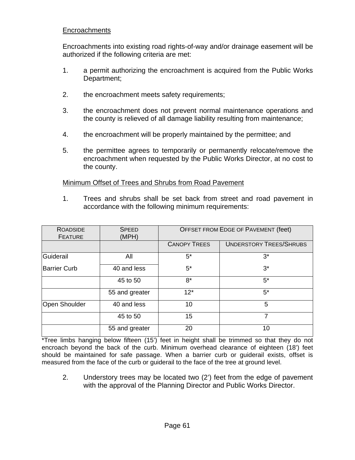# **Encroachments**

Encroachments into existing road rights-of-way and/or drainage easement will be authorized if the following criteria are met:

- 1. a permit authorizing the encroachment is acquired from the Public Works Department;
- 2. the encroachment meets safety requirements;
- 3. the encroachment does not prevent normal maintenance operations and the county is relieved of all damage liability resulting from maintenance;
- 4. the encroachment will be properly maintained by the permittee; and
- 5. the permittee agrees to temporarily or permanently relocate/remove the encroachment when requested by the Public Works Director, at no cost to the county.

Minimum Offset of Trees and Shrubs from Road Pavement

1. Trees and shrubs shall be set back from street and road pavement in accordance with the following minimum requirements:

| <b>ROADSIDE</b><br><b>FEATURE</b> | <b>SPEED</b><br>(MPH) | OFFSET FROM EDGE OF PAVEMENT (feet) |                                |  |
|-----------------------------------|-----------------------|-------------------------------------|--------------------------------|--|
|                                   |                       | <b>CANOPY TREES</b>                 | <b>UNDERSTORY TREES/SHRUBS</b> |  |
| Guiderail                         | All                   | $5^*$                               | $3^*$                          |  |
| <b>Barrier Curb</b>               | 40 and less           | $5^*$                               | $3^*$                          |  |
|                                   | 45 to 50              | $8*$                                | $5^*$                          |  |
|                                   | 55 and greater        | $12*$                               | 5*                             |  |
| <b>Open Shoulder</b>              | 40 and less           | 10                                  | 5                              |  |
|                                   | 45 to 50              | 15                                  | 7                              |  |
|                                   | 55 and greater        | 20                                  | 10                             |  |

\*Tree limbs hanging below fifteen (15') feet in height shall be trimmed so that they do not encroach beyond the back of the curb. Minimum overhead clearance of eighteen (18') feet should be maintained for safe passage. When a barrier curb or guiderail exists, offset is measured from the face of the curb or guiderail to the face of the tree at ground level.

2. Understory trees may be located two (2') feet from the edge of pavement with the approval of the Planning Director and Public Works Director.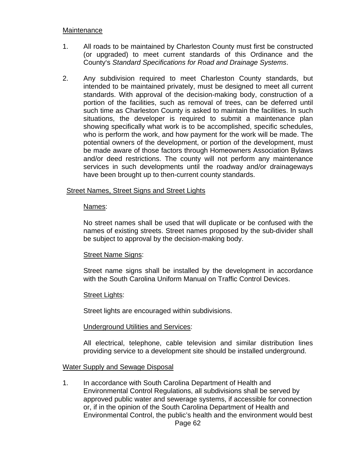#### **Maintenance**

- 1. All roads to be maintained by Charleston County must first be constructed (or upgraded) to meet current standards of this Ordinance and the County's *Standard Specifications for Road and Drainage Systems*.
- 2. Any subdivision required to meet Charleston County standards, but intended to be maintained privately, must be designed to meet all current standards. With approval of the decision-making body, construction of a portion of the facilities, such as removal of trees, can be deferred until such time as Charleston County is asked to maintain the facilities. In such situations, the developer is required to submit a maintenance plan showing specifically what work is to be accomplished, specific schedules, who is perform the work, and how payment for the work will be made. The potential owners of the development, or portion of the development, must be made aware of those factors through Homeowners Association Bylaws and/or deed restrictions. The county will not perform any maintenance services in such developments until the roadway and/or drainageways have been brought up to then-current county standards.

#### **Street Names, Street Signs and Street Lights**

#### Names:

No street names shall be used that will duplicate or be confused with the names of existing streets. Street names proposed by the sub-divider shall be subject to approval by the decision-making body.

#### Street Name Signs:

Street name signs shall be installed by the development in accordance with the South Carolina Uniform Manual on Traffic Control Devices.

#### Street Lights:

Street lights are encouraged within subdivisions.

#### Underground Utilities and Services:

All electrical, telephone, cable television and similar distribution lines providing service to a development site should be installed underground.

#### Water Supply and Sewage Disposal

1. In accordance with South Carolina Department of Health and Environmental Control Regulations, all subdivisions shall be served by approved public water and sewerage systems, if accessible for connection or, if in the opinion of the South Carolina Department of Health and Environmental Control, the public's health and the environment would best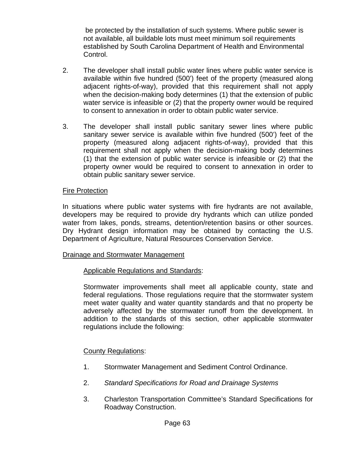be protected by the installation of such systems. Where public sewer is not available, all buildable lots must meet minimum soil requirements established by South Carolina Department of Health and Environmental Control.

- 2. The developer shall install public water lines where public water service is available within five hundred (500') feet of the property (measured along adjacent rights-of-way), provided that this requirement shall not apply when the decision-making body determines (1) that the extension of public water service is infeasible or (2) that the property owner would be required to consent to annexation in order to obtain public water service.
- 3. The developer shall install public sanitary sewer lines where public sanitary sewer service is available within five hundred (500') feet of the property (measured along adjacent rights-of-way), provided that this requirement shall not apply when the decision-making body determines (1) that the extension of public water service is infeasible or (2) that the property owner would be required to consent to annexation in order to obtain public sanitary sewer service.

### Fire Protection

In situations where public water systems with fire hydrants are not available, developers may be required to provide dry hydrants which can utilize ponded water from lakes, ponds, streams, detention/retention basins or other sources. Dry Hydrant design information may be obtained by contacting the U.S. Department of Agriculture, Natural Resources Conservation Service.

#### Drainage and Stormwater Management

# Applicable Regulations and Standards:

Stormwater improvements shall meet all applicable county, state and federal regulations. Those regulations require that the stormwater system meet water quality and water quantity standards and that no property be adversely affected by the stormwater runoff from the development. In addition to the standards of this section, other applicable stormwater regulations include the following:

# County Regulations:

- 1. Stormwater Management and Sediment Control Ordinance.
- 2. *Standard Specifications for Road and Drainage Systems*
- 3. Charleston Transportation Committee's Standard Specifications for Roadway Construction.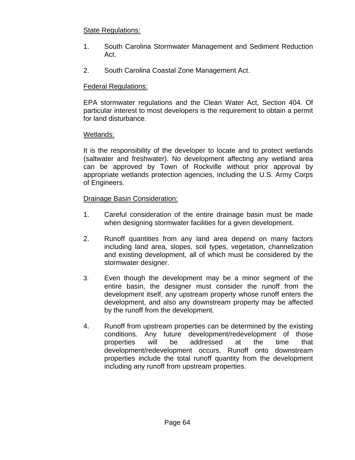# State Regulations:

- 1. South Carolina Stormwater Management and Sediment Reduction Act.
- 2. South Carolina Coastal Zone Management Act.

# Federal Regulations:

EPA stormwater regulations and the Clean Water Act, Section 404. Of particular interest to most developers is the requirement to obtain a permit for land disturbance.

# Wetlands:

It is the responsibility of the developer to locate and to protect wetlands (saltwater and freshwater). No development affecting any wetland area can be approved by Town of Rockville without prior approval by appropriate wetlands protection agencies, including the U.S. Army Corps of Engineers.

# Drainage Basin Consideration:

- 1. Careful consideration of the entire drainage basin must be made when designing stormwater facilities for a given development.
- 2. Runoff quantities from any land area depend on many factors including land area, slopes, soil types, vegetation, channelization and existing development, all of which must be considered by the stormwater designer.
- 3. Even though the development may be a minor segment of the entire basin, the designer must consider the runoff from the development itself, any upstream property whose runoff enters the development, and also any downstream property may be affected by the runoff from the development.
- 4. Runoff from upstream properties can be determined by the existing conditions. Any future development/redevelopment of those properties will be addressed at the time that development/redevelopment occurs. Runoff onto downstream properties include the total runoff quantity from the development including any runoff from upstream properties.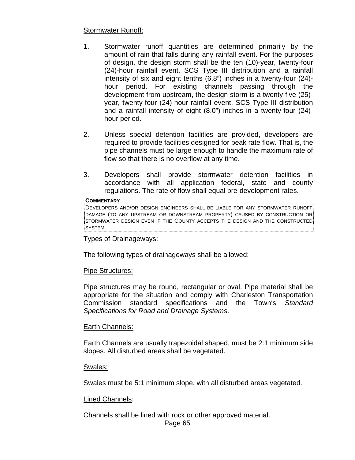### Stormwater Runoff:

- 1. Stormwater runoff quantities are determined primarily by the amount of rain that falls during any rainfall event. For the purposes of design, the design storm shall be the ten (10)-year, twenty-four (24)-hour rainfall event, SCS Type III distribution and a rainfall intensity of six and eight tenths (6.8") inches in a twenty-four (24) hour period. For existing channels passing through the development from upstream, the design storm is a twenty-five (25) year, twenty-four (24)-hour rainfall event, SCS Type III distribution and a rainfall intensity of eight (8.0") inches in a twenty-four (24) hour period.
- 2. Unless special detention facilities are provided, developers are required to provide facilities designed for peak rate flow. That is, the pipe channels must be large enough to handle the maximum rate of flow so that there is no overflow at any time.
- 3. Developers shall provide stormwater detention facilities in accordance with all application federal, state and county regulations. The rate of flow shall equal pre-development rates.

#### **COMMENTARY**

DEVELOPERS AND/OR DESIGN ENGINEERS SHALL BE LIABLE FOR ANY STORMWATER RUNOFF DAMAGE (TO ANY UPSTREAM OR DOWNSTREAM PROPERTY) CAUSED BY CONSTRUCTION OR STORMWATER DESIGN EVEN IF THE COUNTY ACCEPTS THE DESIGN AND THE CONSTRUCTED SYSTEM.

#### Types of Drainageways:

The following types of drainageways shall be allowed:

#### Pipe Structures:

Pipe structures may be round, rectangular or oval. Pipe material shall be appropriate for the situation and comply with Charleston Transportation Commission standard specifications and the Town's *Standard Specifications for Road and Drainage Systems*.

#### Earth Channels:

Earth Channels are usually trapezoidal shaped, must be 2:1 minimum side slopes. All disturbed areas shall be vegetated.

#### Swales:

Swales must be 5:1 minimum slope, with all disturbed areas vegetated.

#### Lined Channels:

Channels shall be lined with rock or other approved material.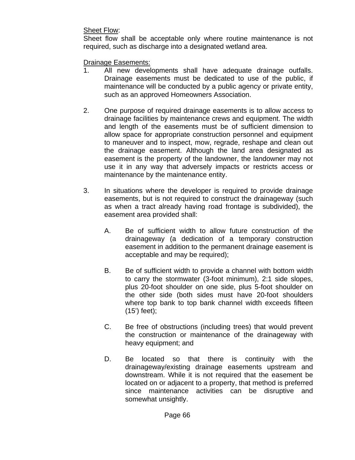Sheet Flow:

Sheet flow shall be acceptable only where routine maintenance is not required, such as discharge into a designated wetland area.

Drainage Easements:

- 1. All new developments shall have adequate drainage outfalls. Drainage easements must be dedicated to use of the public, if maintenance will be conducted by a public agency or private entity, such as an approved Homeowners Association.
- 2. One purpose of required drainage easements is to allow access to drainage facilities by maintenance crews and equipment. The width and length of the easements must be of sufficient dimension to allow space for appropriate construction personnel and equipment to maneuver and to inspect, mow, regrade, reshape and clean out the drainage easement. Although the land area designated as easement is the property of the landowner, the landowner may not use it in any way that adversely impacts or restricts access or maintenance by the maintenance entity.
- 3. In situations where the developer is required to provide drainage easements, but is not required to construct the drainageway (such as when a tract already having road frontage is subdivided), the easement area provided shall:
	- A. Be of sufficient width to allow future construction of the drainageway (a dedication of a temporary construction easement in addition to the permanent drainage easement is acceptable and may be required);
	- B. Be of sufficient width to provide a channel with bottom width to carry the stormwater (3-foot minimum), 2:1 side slopes, plus 20-foot shoulder on one side, plus 5-foot shoulder on the other side (both sides must have 20-foot shoulders where top bank to top bank channel width exceeds fifteen (15') feet);
	- C. Be free of obstructions (including trees) that would prevent the construction or maintenance of the drainageway with heavy equipment; and
	- D. Be located so that there is continuity with the drainageway/existing drainage easements upstream and downstream. While it is not required that the easement be located on or adjacent to a property, that method is preferred since maintenance activities can be disruptive and somewhat unsightly.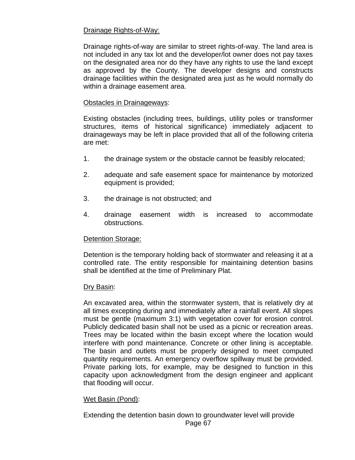# Drainage Rights-of-Way:

Drainage rights-of-way are similar to street rights-of-way. The land area is not included in any tax lot and the developer/lot owner does not pay taxes on the designated area nor do they have any rights to use the land except as approved by the County. The developer designs and constructs drainage facilities within the designated area just as he would normally do within a drainage easement area.

### Obstacles in Drainageways:

Existing obstacles (including trees, buildings, utility poles or transformer structures, items of historical significance) immediately adjacent to drainageways may be left in place provided that all of the following criteria are met:

- 1. the drainage system or the obstacle cannot be feasibly relocated;
- 2. adequate and safe easement space for maintenance by motorized equipment is provided;
- 3. the drainage is not obstructed; and
- 4. drainage easement width is increased to accommodate obstructions.

# Detention Storage:

Detention is the temporary holding back of stormwater and releasing it at a controlled rate. The entity responsible for maintaining detention basins shall be identified at the time of Preliminary Plat.

#### Dry Basin:

An excavated area, within the stormwater system, that is relatively dry at all times excepting during and immediately after a rainfall event. All slopes must be gentle (maximum 3:1) with vegetation cover for erosion control. Publicly dedicated basin shall not be used as a picnic or recreation areas. Trees may be located within the basin except where the location would interfere with pond maintenance. Concrete or other lining is acceptable. The basin and outlets must be properly designed to meet computed quantity requirements. An emergency overflow spillway must be provided. Private parking lots, for example, may be designed to function in this capacity upon acknowledgment from the design engineer and applicant that flooding will occur.

#### Wet Basin (Pond):

Extending the detention basin down to groundwater level will provide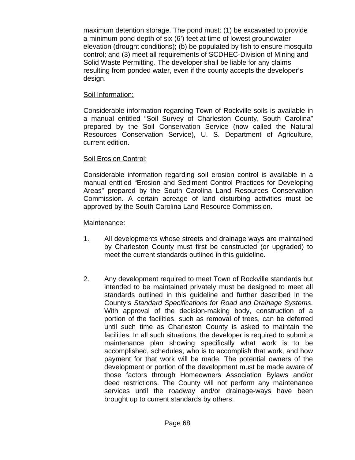maximum detention storage. The pond must: (1) be excavated to provide a minimum pond depth of six (6') feet at time of lowest groundwater elevation (drought conditions); (b) be populated by fish to ensure mosquito control; and (3) meet all requirements of SCDHEC-Division of Mining and Solid Waste Permitting. The developer shall be liable for any claims resulting from ponded water, even if the county accepts the developer's design.

# Soil Information:

Considerable information regarding Town of Rockville soils is available in a manual entitled "Soil Survey of Charleston County, South Carolina" prepared by the Soil Conservation Service (now called the Natural Resources Conservation Service), U. S. Department of Agriculture, current edition.

# Soil Erosion Control:

Considerable information regarding soil erosion control is available in a manual entitled "Erosion and Sediment Control Practices for Developing Areas" prepared by the South Carolina Land Resources Conservation Commission. A certain acreage of land disturbing activities must be approved by the South Carolina Land Resource Commission.

# Maintenance:

- 1. All developments whose streets and drainage ways are maintained by Charleston County must first be constructed (or upgraded) to meet the current standards outlined in this guideline.
- 2. Any development required to meet Town of Rockville standards but intended to be maintained privately must be designed to meet all standards outlined in this guideline and further described in the County's *Standard Specifications for Road and Drainage Systems*. With approval of the decision-making body, construction of a portion of the facilities, such as removal of trees, can be deferred until such time as Charleston County is asked to maintain the facilities. In all such situations, the developer is required to submit a maintenance plan showing specifically what work is to be accomplished, schedules, who is to accomplish that work, and how payment for that work will be made. The potential owners of the development or portion of the development must be made aware of those factors through Homeowners Association Bylaws and/or deed restrictions. The County will not perform any maintenance services until the roadway and/or drainage-ways have been brought up to current standards by others.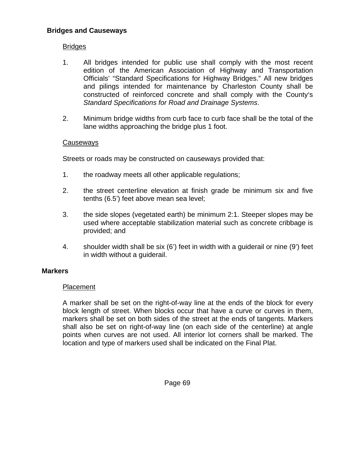# **Bridges and Causeways**

# Bridges

- 1. All bridges intended for public use shall comply with the most recent edition of the American Association of Highway and Transportation Officials' "Standard Specifications for Highway Bridges." All new bridges and pilings intended for maintenance by Charleston County shall be constructed of reinforced concrete and shall comply with the County's *Standard Specifications for Road and Drainage Systems*.
- 2. Minimum bridge widths from curb face to curb face shall be the total of the lane widths approaching the bridge plus 1 foot.

#### Causeways

Streets or roads may be constructed on causeways provided that:

- 1. the roadway meets all other applicable regulations;
- 2. the street centerline elevation at finish grade be minimum six and five tenths (6.5') feet above mean sea level;
- 3. the side slopes (vegetated earth) be minimum 2:1. Steeper slopes may be used where acceptable stabilization material such as concrete cribbage is provided; and
- 4. shoulder width shall be six (6') feet in width with a guiderail or nine (9') feet in width without a guiderail.

#### **Markers**

#### **Placement**

A marker shall be set on the right-of-way line at the ends of the block for every block length of street. When blocks occur that have a curve or curves in them, markers shall be set on both sides of the street at the ends of tangents. Markers shall also be set on right-of-way line (on each side of the centerline) at angle points when curves are not used. All interior lot corners shall be marked. The location and type of markers used shall be indicated on the Final Plat.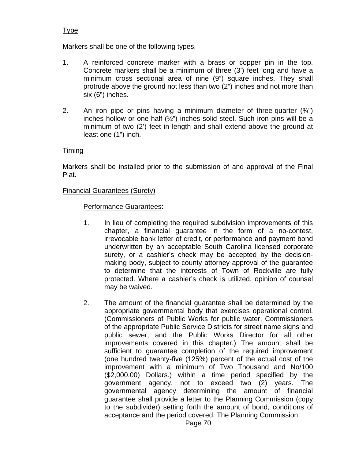# Type

Markers shall be one of the following types.

- 1. A reinforced concrete marker with a brass or copper pin in the top. Concrete markers shall be a minimum of three (3') feet long and have a minimum cross sectional area of nine (9") square inches. They shall protrude above the ground not less than two (2") inches and not more than six (6") inches.
- 2. An iron pipe or pins having a minimum diameter of three-quarter  $(34)$ inches hollow or one-half (½") inches solid steel. Such iron pins will be a minimum of two (2') feet in length and shall extend above the ground at least one (1") inch.

# Timing

Markers shall be installed prior to the submission of and approval of the Final Plat.

### Financial Guarantees (Surety)

### Performance Guarantees:

- 1. In lieu of completing the required subdivision improvements of this chapter, a financial guarantee in the form of a no-contest, irrevocable bank letter of credit, or performance and payment bond underwritten by an acceptable South Carolina licensed corporate surety, or a cashier's check may be accepted by the decisionmaking body, subject to county attorney approval of the guarantee to determine that the interests of Town of Rockville are fully protected. Where a cashier's check is utilized, opinion of counsel may be waived.
- 2. The amount of the financial guarantee shall be determined by the appropriate governmental body that exercises operational control. (Commissioners of Public Works for public water, Commissioners of the appropriate Public Service Districts for street name signs and public sewer, and the Public Works Director for all other improvements covered in this chapter.) The amount shall be sufficient to guarantee completion of the required improvement (one hundred twenty-five (125%) percent of the actual cost of the improvement with a minimum of Two Thousand and No/100 (\$2,000.00) Dollars.) within a time period specified by the government agency, not to exceed two (2) years. The governmental agency determining the amount of financial guarantee shall provide a letter to the Planning Commission (copy to the subdivider) setting forth the amount of bond, conditions of acceptance and the period covered. The Planning Commission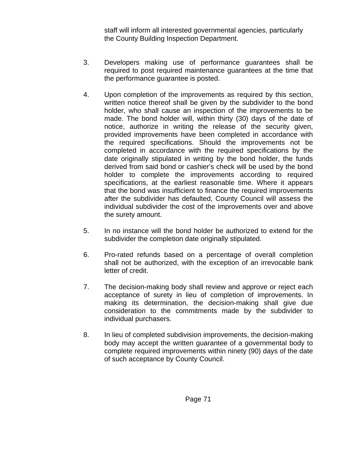staff will inform all interested governmental agencies, particularly the County Building Inspection Department.

- 3. Developers making use of performance guarantees shall be required to post required maintenance guarantees at the time that the performance guarantee is posted.
- 4. Upon completion of the improvements as required by this section, written notice thereof shall be given by the subdivider to the bond holder, who shall cause an inspection of the improvements to be made. The bond holder will, within thirty (30) days of the date of notice, authorize in writing the release of the security given, provided improvements have been completed in accordance with the required specifications. Should the improvements not be completed in accordance with the required specifications by the date originally stipulated in writing by the bond holder, the funds derived from said bond or cashier's check will be used by the bond holder to complete the improvements according to required specifications, at the earliest reasonable time. Where it appears that the bond was insufficient to finance the required improvements after the subdivider has defaulted, County Council will assess the individual subdivider the cost of the improvements over and above the surety amount.
- 5. In no instance will the bond holder be authorized to extend for the subdivider the completion date originally stipulated.
- 6. Pro-rated refunds based on a percentage of overall completion shall not be authorized, with the exception of an irrevocable bank letter of credit.
- 7. The decision-making body shall review and approve or reject each acceptance of surety in lieu of completion of improvements. In making its determination, the decision-making shall give due consideration to the commitments made by the subdivider to individual purchasers.
- 8. In lieu of completed subdivision improvements, the decision-making body may accept the written guarantee of a governmental body to complete required improvements within ninety (90) days of the date of such acceptance by County Council.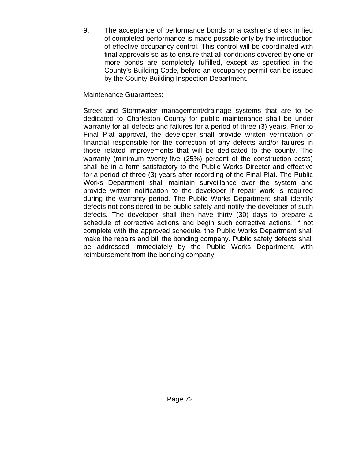9. The acceptance of performance bonds or a cashier's check in lieu of completed performance is made possible only by the introduction of effective occupancy control. This control will be coordinated with final approvals so as to ensure that all conditions covered by one or more bonds are completely fulfilled, except as specified in the County's Building Code, before an occupancy permit can be issued by the County Building Inspection Department.

# Maintenance Guarantees:

Street and Stormwater management/drainage systems that are to be dedicated to Charleston County for public maintenance shall be under warranty for all defects and failures for a period of three (3) years. Prior to Final Plat approval, the developer shall provide written verification of financial responsible for the correction of any defects and/or failures in those related improvements that will be dedicated to the county. The warranty (minimum twenty-five (25%) percent of the construction costs) shall be in a form satisfactory to the Public Works Director and effective for a period of three (3) years after recording of the Final Plat. The Public Works Department shall maintain surveillance over the system and provide written notification to the developer if repair work is required during the warranty period. The Public Works Department shall identify defects not considered to be public safety and notify the developer of such defects. The developer shall then have thirty (30) days to prepare a schedule of corrective actions and begin such corrective actions. If not complete with the approved schedule, the Public Works Department shall make the repairs and bill the bonding company. Public safety defects shall be addressed immediately by the Public Works Department, with reimbursement from the bonding company.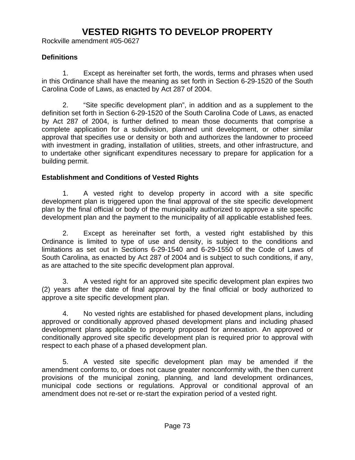# **VESTED RIGHTS TO DEVELOP PROPERTY**

Rockville amendment #05-0627

#### **Definitions**

 1. Except as hereinafter set forth, the words, terms and phrases when used in this Ordinance shall have the meaning as set forth in Section 6-29-1520 of the South Carolina Code of Laws, as enacted by Act 287 of 2004.

 2. "Site specific development plan", in addition and as a supplement to the definition set forth in Section 6-29-1520 of the South Carolina Code of Laws, as enacted by Act 287 of 2004, is further defined to mean those documents that comprise a complete application for a subdivision, planned unit development, or other similar approval that specifies use or density or both and authorizes the landowner to proceed with investment in grading, installation of utilities, streets, and other infrastructure, and to undertake other significant expenditures necessary to prepare for application for a building permit.

## **Establishment and Conditions of Vested Rights**

1. A vested right to develop property in accord with a site specific development plan is triggered upon the final approval of the site specific development plan by the final official or body of the municipality authorized to approve a site specific development plan and the payment to the municipality of all applicable established fees.

2. Except as hereinafter set forth, a vested right established by this Ordinance is limited to type of use and density, is subject to the conditions and limitations as set out in Sections 6-29-1540 and 6-29-1550 of the Code of Laws of South Carolina, as enacted by Act 287 of 2004 and is subject to such conditions, if any, as are attached to the site specific development plan approval.

3. A vested right for an approved site specific development plan expires two (2) years after the date of final approval by the final official or body authorized to approve a site specific development plan.

4. No vested rights are established for phased development plans, including approved or conditionally approved phased development plans and including phased development plans applicable to property proposed for annexation. An approved or conditionally approved site specific development plan is required prior to approval with respect to each phase of a phased development plan.

5. A vested site specific development plan may be amended if the amendment conforms to, or does not cause greater nonconformity with, the then current provisions of the municipal zoning, planning, and land development ordinances, municipal code sections or regulations. Approval or conditional approval of an amendment does not re-set or re-start the expiration period of a vested right.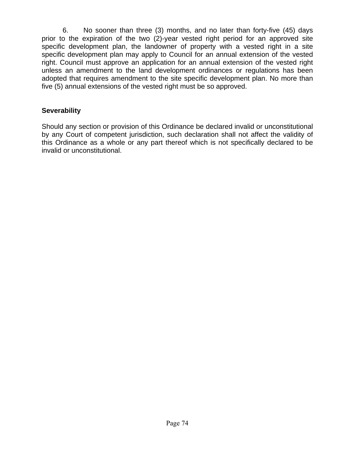6. No sooner than three (3) months, and no later than forty-five (45) days prior to the expiration of the two (2)-year vested right period for an approved site specific development plan, the landowner of property with a vested right in a site specific development plan may apply to Council for an annual extension of the vested right. Council must approve an application for an annual extension of the vested right unless an amendment to the land development ordinances or regulations has been adopted that requires amendment to the site specific development plan. No more than five (5) annual extensions of the vested right must be so approved.

## **Severability**

Should any section or provision of this Ordinance be declared invalid or unconstitutional by any Court of competent jurisdiction, such declaration shall not affect the validity of this Ordinance as a whole or any part thereof which is not specifically declared to be invalid or unconstitutional.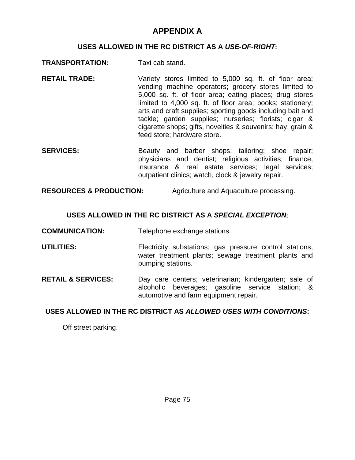## **APPENDIX A**

#### **USES ALLOWED IN THE RC DISTRICT AS A** *USE-OF-RIGHT*:

- **TRANSPORTATION:** Taxi cab stand.
- **RETAIL TRADE:** Variety stores limited to 5,000 sq. ft. of floor area; vending machine operators; grocery stores limited to 5,000 sq. ft. of floor area; eating places; drug stores limited to 4,000 sq. ft. of floor area; books; stationery; arts and craft supplies; sporting goods including bait and tackle; garden supplies; nurseries; florists; cigar & cigarette shops; gifts, novelties & souvenirs; hay, grain & feed store; hardware store.
- **SERVICES:** Beauty and barber shops; tailoring; shoe repair; physicians and dentist; religious activities; finance, insurance & real estate services; legal services; outpatient clinics; watch, clock & jewelry repair.

**RESOURCES & PRODUCTION:** Agriculture and Aquaculture processing.

## **USES ALLOWED IN THE RC DISTRICT AS A** *SPECIAL EXCEPTION*:

**COMMUNICATION:** Telephone exchange stations.

- **UTILITIES:** Electricity substations; gas pressure control stations; water treatment plants; sewage treatment plants and pumping stations.
- **RETAIL & SERVICES:** Day care centers; veterinarian; kindergarten; sale of alcoholic beverages; gasoline service station; & automotive and farm equipment repair.

## **USES ALLOWED IN THE RC DISTRICT AS** *ALLOWED USES WITH CONDITIONS***:**

Off street parking.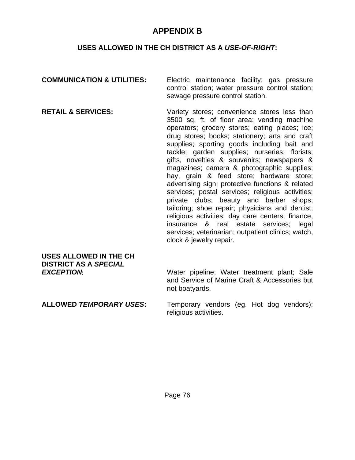## **APPENDIX B**

## **USES ALLOWED IN THE CH DISTRICT AS A** *USE-OF-RIGHT***:**

| <b>COMMUNICATION &amp; UTILITIES:</b>                                       | Electric maintenance facility; gas pressure<br>control station; water pressure control station;<br>sewage pressure control station.                                                                                                                                                                                                                                                                                                                                                                                                                                                                                                                                                                                                                                                                                           |
|-----------------------------------------------------------------------------|-------------------------------------------------------------------------------------------------------------------------------------------------------------------------------------------------------------------------------------------------------------------------------------------------------------------------------------------------------------------------------------------------------------------------------------------------------------------------------------------------------------------------------------------------------------------------------------------------------------------------------------------------------------------------------------------------------------------------------------------------------------------------------------------------------------------------------|
| <b>RETAIL &amp; SERVICES:</b>                                               | Variety stores; convenience stores less than<br>3500 sq. ft. of floor area; vending machine<br>operators; grocery stores; eating places; ice;<br>drug stores; books; stationery; arts and craft<br>supplies; sporting goods including bait and<br>tackle; garden supplies; nurseries; florists;<br>gifts, novelties & souvenirs; newspapers &<br>magazines; camera & photographic supplies;<br>hay, grain & feed store; hardware store;<br>advertising sign; protective functions & related<br>services; postal services; religious activities;<br>private clubs; beauty and barber shops;<br>tailoring; shoe repair; physicians and dentist;<br>religious activities; day care centers; finance,<br>insurance & real estate services; legal<br>services; veterinarian; outpatient clinics; watch,<br>clock & jewelry repair. |
| USES ALLOWED IN THE CH<br><b>DISTRICT AS A SPECIAL</b><br><b>EXCEPTION:</b> | Water pipeline; Water treatment plant; Sale<br>and Service of Marine Craft & Accessories but<br>not boatyards.                                                                                                                                                                                                                                                                                                                                                                                                                                                                                                                                                                                                                                                                                                                |

**ALLOWED** *TEMPORARY USES***:** Temporary vendors (eg. Hot dog vendors); religious activities.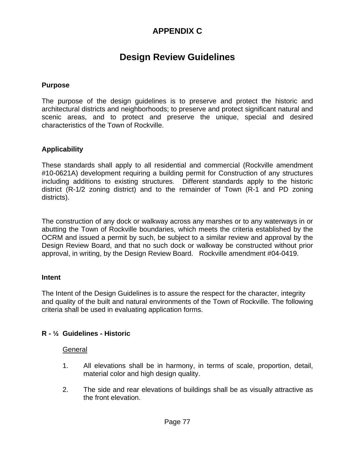# **APPENDIX C**

# **Design Review Guidelines**

#### **Purpose**

The purpose of the design guidelines is to preserve and protect the historic and architectural districts and neighborhoods; to preserve and protect significant natural and scenic areas, and to protect and preserve the unique, special and desired characteristics of the Town of Rockville.

#### **Applicability**

These standards shall apply to all residential and commercial (Rockville amendment #10-0621A) development requiring a building permit for Construction of any structures including additions to existing structures. Different standards apply to the historic district (R-1/2 zoning district) and to the remainder of Town (R-1 and PD zoning districts).

The construction of any dock or walkway across any marshes or to any waterways in or abutting the Town of Rockville boundaries, which meets the criteria established by the OCRM and issued a permit by such, be subject to a similar review and approval by the Design Review Board, and that no such dock or walkway be constructed without prior approval, in writing, by the Design Review Board. Rockville amendment #04-0419.

#### **Intent**

The Intent of the Design Guidelines is to assure the respect for the character, integrity and quality of the built and natural environments of the Town of Rockville. The following criteria shall be used in evaluating application forms.

#### **R - ½ Guidelines - Historic**

#### General

- 1. All elevations shall be in harmony, in terms of scale, proportion, detail, material color and high design quality.
- 2. The side and rear elevations of buildings shall be as visually attractive as the front elevation.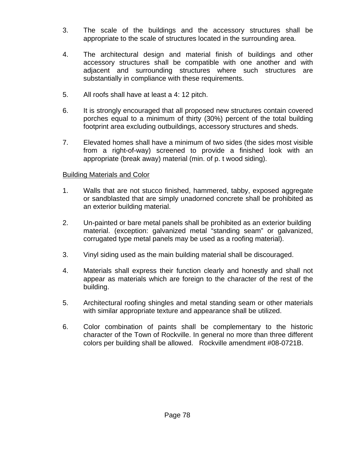- 3. The scale of the buildings and the accessory structures shall be appropriate to the scale of structures located in the surrounding area.
- 4. The architectural design and material finish of buildings and other accessory structures shall be compatible with one another and with adjacent and surrounding structures where such structures are substantially in compliance with these requirements.
- 5. All roofs shall have at least a 4: 12 pitch.
- 6. It is strongly encouraged that all proposed new structures contain covered porches equal to a minimum of thirty (30%) percent of the total building footprint area excluding outbuildings, accessory structures and sheds.
- 7. Elevated homes shall have a minimum of two sides (the sides most visible from a right-of-way) screened to provide a finished look with an appropriate (break away) material (min. of p. t wood siding).

## Building Materials and Color

- 1. Walls that are not stucco finished, hammered, tabby, exposed aggregate or sandblasted that are simply unadorned concrete shall be prohibited as an exterior building material.
- 2. Un-painted or bare metal panels shall be prohibited as an exterior building material. (exception: galvanized metal "standing seam" or galvanized, corrugated type metal panels may be used as a roofing material).
- 3. Vinyl siding used as the main building material shall be discouraged.
- 4. Materials shall express their function clearly and honestly and shall not appear as materials which are foreign to the character of the rest of the building.
- 5. Architectural roofing shingles and metal standing seam or other materials with similar appropriate texture and appearance shall be utilized.
- 6. Color combination of paints shall be complementary to the historic character of the Town of Rockville. In general no more than three different colors per building shall be allowed. Rockville amendment #08-0721B.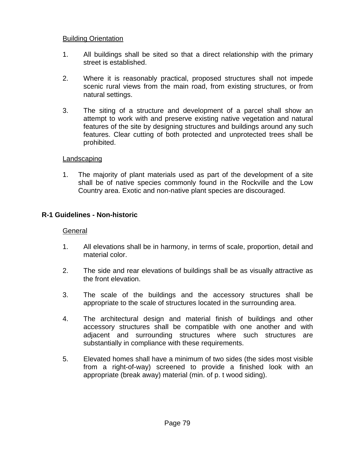#### Building Orientation

- 1. All buildings shall be sited so that a direct relationship with the primary street is established.
- 2. Where it is reasonably practical, proposed structures shall not impede scenic rural views from the main road, from existing structures, or from natural settings.
- 3. The siting of a structure and development of a parcel shall show an attempt to work with and preserve existing native vegetation and natural features of the site by designing structures and buildings around any such features. Clear cutting of both protected and unprotected trees shall be prohibited.

#### Landscaping

 1. The majority of plant materials used as part of the development of a site shall be of native species commonly found in the Rockville and the Low Country area. Exotic and non-native plant species are discouraged.

## **R-1 Guidelines - Non-historic**

#### General

- 1. All elevations shall be in harmony, in terms of scale, proportion, detail and material color.
- 2. The side and rear elevations of buildings shall be as visually attractive as the front elevation.
- 3. The scale of the buildings and the accessory structures shall be appropriate to the scale of structures located in the surrounding area.
- 4. The architectural design and material finish of buildings and other accessory structures shall be compatible with one another and with adjacent and surrounding structures where such structures are substantially in compliance with these requirements.
- 5. Elevated homes shall have a minimum of two sides (the sides most visible from a right-of-way) screened to provide a finished look with an appropriate (break away) material (min. of p. t wood siding).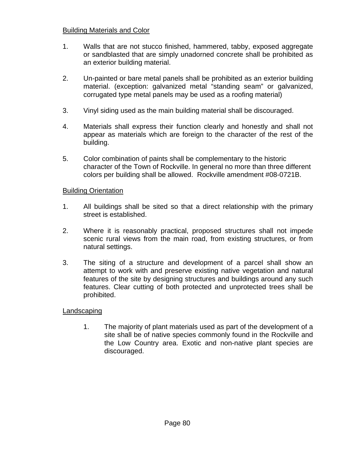## Building Materials and Color

- 1. Walls that are not stucco finished, hammered, tabby, exposed aggregate or sandblasted that are simply unadorned concrete shall be prohibited as an exterior building material.
- 2. Un-painted or bare metal panels shall be prohibited as an exterior building material. (exception: galvanized metal "standing seam" or galvanized, corrugated type metal panels may be used as a roofing material)
- 3. Vinyl siding used as the main building material shall be discouraged.
- 4. Materials shall express their function clearly and honestly and shall not appear as materials which are foreign to the character of the rest of the building.
- 5. Color combination of paints shall be complementary to the historic character of the Town of Rockville. In general no more than three different colors per building shall be allowed. Rockville amendment #08-0721B.

#### Building Orientation

- 1. All buildings shall be sited so that a direct relationship with the primary street is established.
- 2. Where it is reasonably practical, proposed structures shall not impede scenic rural views from the main road, from existing structures, or from natural settings.
- 3. The siting of a structure and development of a parcel shall show an attempt to work with and preserve existing native vegetation and natural features of the site by designing structures and buildings around any such features. Clear cutting of both protected and unprotected trees shall be prohibited.

#### Landscaping

1. The majority of plant materials used as part of the development of a site shall be of native species commonly found in the Rockville and the Low Country area. Exotic and non-native plant species are discouraged.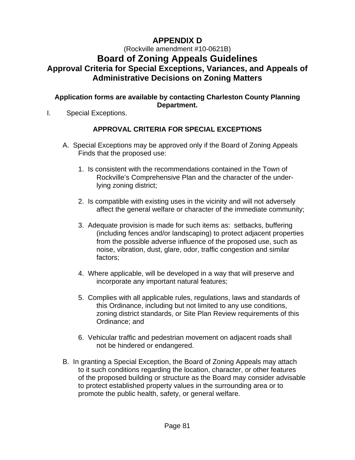# **APPENDIX D**

(Rockville amendment #10-0621B)

# **Board of Zoning Appeals Guidelines Approval Criteria for Special Exceptions, Variances, and Appeals of Administrative Decisions on Zoning Matters**

## **Application forms are available by contacting Charleston County Planning Department.**

I. Special Exceptions.

## **APPROVAL CRITERIA FOR SPECIAL EXCEPTIONS**

- A. Special Exceptions may be approved only if the Board of Zoning Appeals Finds that the proposed use:
	- 1. Is consistent with the recommendations contained in the Town of Rockville's Comprehensive Plan and the character of the under lying zoning district;
	- 2. Is compatible with existing uses in the vicinity and will not adversely affect the general welfare or character of the immediate community;
	- 3. Adequate provision is made for such items as: setbacks, buffering (including fences and/or landscaping) to protect adjacent properties from the possible adverse influence of the proposed use, such as noise, vibration, dust, glare, odor, traffic congestion and similar factors;
	- 4. Where applicable, will be developed in a way that will preserve and incorporate any important natural features;
	- 5. Complies with all applicable rules, regulations, laws and standards of this Ordinance, including but not limited to any use conditions, zoning district standards, or Site Plan Review requirements of this Ordinance; and
	- 6. Vehicular traffic and pedestrian movement on adjacent roads shall not be hindered or endangered.
- B. In granting a Special Exception, the Board of Zoning Appeals may attach to it such conditions regarding the location, character, or other features of the proposed building or structure as the Board may consider advisable to protect established property values in the surrounding area or to promote the public health, safety, or general welfare.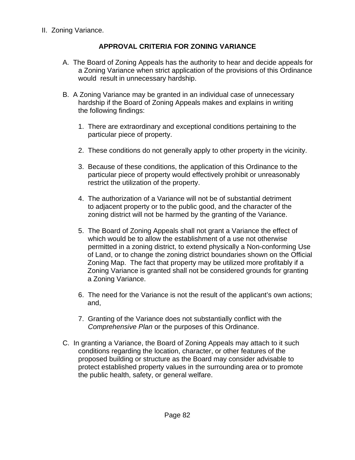## **APPROVAL CRITERIA FOR ZONING VARIANCE**

- A. The Board of Zoning Appeals has the authority to hear and decide appeals for a Zoning Variance when strict application of the provisions of this Ordinance would result in unnecessary hardship.
- B. A Zoning Variance may be granted in an individual case of unnecessary hardship if the Board of Zoning Appeals makes and explains in writing the following findings:
	- 1. There are extraordinary and exceptional conditions pertaining to the particular piece of property.
	- 2. These conditions do not generally apply to other property in the vicinity.
	- 3. Because of these conditions, the application of this Ordinance to the particular piece of property would effectively prohibit or unreasonably restrict the utilization of the property.
	- 4. The authorization of a Variance will not be of substantial detriment to adjacent property or to the public good, and the character of the zoning district will not be harmed by the granting of the Variance.
	- 5. The Board of Zoning Appeals shall not grant a Variance the effect of which would be to allow the establishment of a use not otherwise permitted in a zoning district, to extend physically a Non-conforming Use of Land, or to change the zoning district boundaries shown on the Official Zoning Map. The fact that property may be utilized more profitably if a Zoning Variance is granted shall not be considered grounds for granting a Zoning Variance.
	- 6. The need for the Variance is not the result of the applicant's own actions; and,
	- 7. Granting of the Variance does not substantially conflict with the *Comprehensive Plan* or the purposes of this Ordinance.
- C. In granting a Variance, the Board of Zoning Appeals may attach to it such conditions regarding the location, character, or other features of the proposed building or structure as the Board may consider advisable to protect established property values in the surrounding area or to promote the public health, safety, or general welfare.